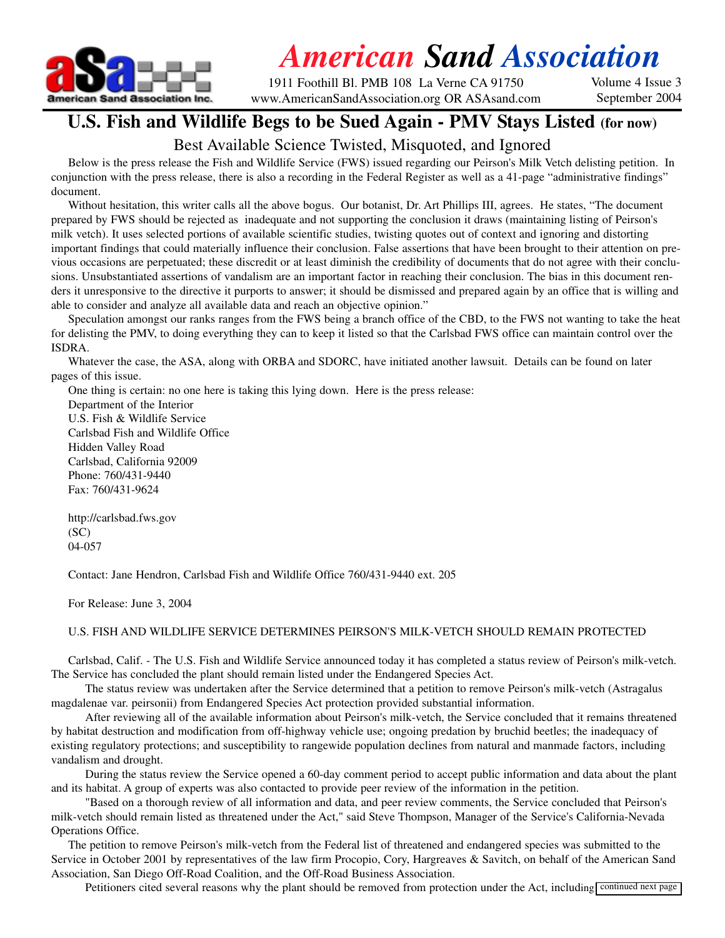

# *American Sand Association*

1911 Foothill Bl. PMB 108 La Verne CA 91750 www.AmericanSandAssociation.org OR ASAsand.com Volume 4 Issue 3 September 2004

### **U.S. Fish and Wildlife Begs to be Sued Again - PMV Stays Listed (for now)**

### Best Available Science Twisted, Misquoted, and Ignored

Below is the press release the Fish and Wildlife Service (FWS) issued regarding our Peirson's Milk Vetch delisting petition. In conjunction with the press release, there is also a recording in the Federal Register as well as a 41-page "administrative findings" document.

Without hesitation, this writer calls all the above bogus. Our botanist, Dr. Art Phillips III, agrees. He states, "The document prepared by FWS should be rejected as inadequate and not supporting the conclusion it draws (maintaining listing of Peirson's milk vetch). It uses selected portions of available scientific studies, twisting quotes out of context and ignoring and distorting important findings that could materially influence their conclusion. False assertions that have been brought to their attention on previous occasions are perpetuated; these discredit or at least diminish the credibility of documents that do not agree with their conclusions. Unsubstantiated assertions of vandalism are an important factor in reaching their conclusion. The bias in this document renders it unresponsive to the directive it purports to answer; it should be dismissed and prepared again by an office that is willing and able to consider and analyze all available data and reach an objective opinion."

Speculation amongst our ranks ranges from the FWS being a branch office of the CBD, to the FWS not wanting to take the heat for delisting the PMV, to doing everything they can to keep it listed so that the Carlsbad FWS office can maintain control over the ISDRA.

Whatever the case, the ASA, along with ORBA and SDORC, have initiated another lawsuit. Details can be found on later pages of this issue.

One thing is certain: no one here is taking this lying down. Here is the press release:

Department of the Interior U.S. Fish & Wildlife Service Carlsbad Fish and Wildlife Office Hidden Valley Road Carlsbad, California 92009 Phone: 760/431-9440 Fax: 760/431-9624

http://carlsbad.fws.gov (SC) 04-057

Contact: Jane Hendron, Carlsbad Fish and Wildlife Office 760/431-9440 ext. 205

For Release: June 3, 2004

#### U.S. FISH AND WILDLIFE SERVICE DETERMINES PEIRSON'S MILK-VETCH SHOULD REMAIN PROTECTED

Carlsbad, Calif. - The U.S. Fish and Wildlife Service announced today it has completed a status review of Peirson's milk-vetch. The Service has concluded the plant should remain listed under the Endangered Species Act.

The status review was undertaken after the Service determined that a petition to remove Peirson's milk-vetch (Astragalus magdalenae var. peirsonii) from Endangered Species Act protection provided substantial information.

After reviewing all of the available information about Peirson's milk-vetch, the Service concluded that it remains threatened by habitat destruction and modification from off-highway vehicle use; ongoing predation by bruchid beetles; the inadequacy of existing regulatory protections; and susceptibility to rangewide population declines from natural and manmade factors, including vandalism and drought.

During the status review the Service opened a 60-day comment period to accept public information and data about the plant and its habitat. A group of experts was also contacted to provide peer review of the information in the petition.

"Based on a thorough review of all information and data, and peer review comments, the Service concluded that Peirson's milk-vetch should remain listed as threatened under the Act," said Steve Thompson, Manager of the Service's California-Nevada Operations Office.

The petition to remove Peirson's milk-vetch from the Federal list of threatened and endangered species was submitted to the Service in October 2001 by representatives of the law firm Procopio, Cory, Hargreaves & Savitch, on behalf of the American Sand Association, San Diego Off-Road Coalition, and the Off-Road Business Association.

Petitioners cited several reasons why the plant should be removed from protection under the Act, including continued next page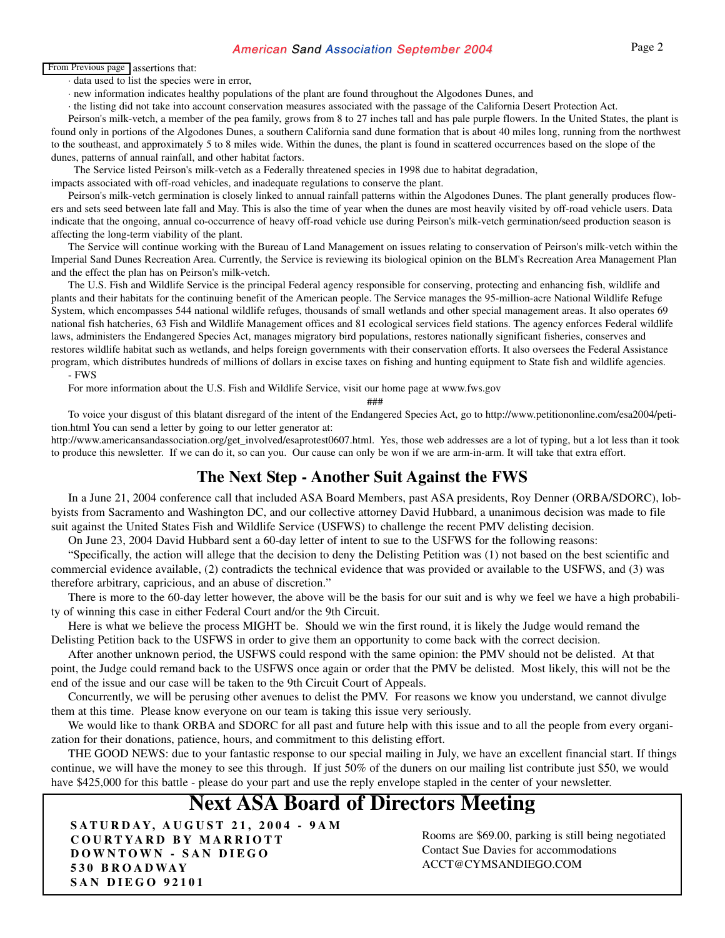#### American Sand Association September 2004 Page 2

#### From Previous page assertions that:

· data used to list the species were in error,

· new information indicates healthy populations of the plant are found throughout the Algodones Dunes, and

· the listing did not take into account conservation measures associated with the passage of the California Desert Protection Act.

Peirson's milk-vetch, a member of the pea family, grows from 8 to 27 inches tall and has pale purple flowers. In the United States, the plant is found only in portions of the Algodones Dunes, a southern California sand dune formation that is about 40 miles long, running from the northwest to the southeast, and approximately 5 to 8 miles wide. Within the dunes, the plant is found in scattered occurrences based on the slope of the dunes, patterns of annual rainfall, and other habitat factors.

The Service listed Peirson's milk-vetch as a Federally threatened species in 1998 due to habitat degradation,

impacts associated with off-road vehicles, and inadequate regulations to conserve the plant.

Peirson's milk-vetch germination is closely linked to annual rainfall patterns within the Algodones Dunes. The plant generally produces flowers and sets seed between late fall and May. This is also the time of year when the dunes are most heavily visited by off-road vehicle users. Data indicate that the ongoing, annual co-occurrence of heavy off-road vehicle use during Peirson's milk-vetch germination/seed production season is affecting the long-term viability of the plant.

The Service will continue working with the Bureau of Land Management on issues relating to conservation of Peirson's milk-vetch within the Imperial Sand Dunes Recreation Area. Currently, the Service is reviewing its biological opinion on the BLM's Recreation Area Management Plan and the effect the plan has on Peirson's milk-vetch.

The U.S. Fish and Wildlife Service is the principal Federal agency responsible for conserving, protecting and enhancing fish, wildlife and plants and their habitats for the continuing benefit of the American people. The Service manages the 95-million-acre National Wildlife Refuge System, which encompasses 544 national wildlife refuges, thousands of small wetlands and other special management areas. It also operates 69 national fish hatcheries, 63 Fish and Wildlife Management offices and 81 ecological services field stations. The agency enforces Federal wildlife laws, administers the Endangered Species Act, manages migratory bird populations, restores nationally significant fisheries, conserves and restores wildlife habitat such as wetlands, and helps foreign governments with their conservation efforts. It also oversees the Federal Assistance program, which distributes hundreds of millions of dollars in excise taxes on fishing and hunting equipment to State fish and wildlife agencies. - FWS

For more information about the U.S. Fish and Wildlife Service, visit our home page at www.fws.gov

###

To voice your disgust of this blatant disregard of the intent of the Endangered Species Act, go to http://www.petitiononline.com/esa2004/petition.html You can send a letter by going to our letter generator at:

http://www.americansandassociation.org/get\_involved/esaprotest0607.html. Yes, those web addresses are a lot of typing, but a lot less than it took to produce this newsletter. If we can do it, so can you. Our cause can only be won if we are arm-in-arm. It will take that extra effort.

### **The Next Step - Another Suit Against the FWS**

In a June 21, 2004 conference call that included ASA Board Members, past ASA presidents, Roy Denner (ORBA/SDORC), lobbyists from Sacramento and Washington DC, and our collective attorney David Hubbard, a unanimous decision was made to file suit against the United States Fish and Wildlife Service (USFWS) to challenge the recent PMV delisting decision.

On June 23, 2004 David Hubbard sent a 60-day letter of intent to sue to the USFWS for the following reasons:

"Specifically, the action will allege that the decision to deny the Delisting Petition was (1) not based on the best scientific and commercial evidence available, (2) contradicts the technical evidence that was provided or available to the USFWS, and (3) was therefore arbitrary, capricious, and an abuse of discretion."

There is more to the 60-day letter however, the above will be the basis for our suit and is why we feel we have a high probability of winning this case in either Federal Court and/or the 9th Circuit.

Here is what we believe the process MIGHT be. Should we win the first round, it is likely the Judge would remand the Delisting Petition back to the USFWS in order to give them an opportunity to come back with the correct decision.

After another unknown period, the USFWS could respond with the same opinion: the PMV should not be delisted. At that point, the Judge could remand back to the USFWS once again or order that the PMV be delisted. Most likely, this will not be the end of the issue and our case will be taken to the 9th Circuit Court of Appeals.

Concurrently, we will be perusing other avenues to delist the PMV. For reasons we know you understand, we cannot divulge them at this time. Please know everyone on our team is taking this issue very seriously.

We would like to thank ORBA and SDORC for all past and future help with this issue and to all the people from every organization for their donations, patience, hours, and commitment to this delisting effort.

THE GOOD NEWS: due to your fantastic response to our special mailing in July, we have an excellent financial start. If things continue, we will have the money to see this through. If just 50% of the duners on our mailing list contribute just \$50, we would have \$425,000 for this battle - please do your part and use the reply envelope stapled in the center of your newsletter.

### **Next ASA Board of Directors Meeting**

**SATURDAY, AUGUST 21, 2004 - 9AM COURTYARD BY MARRIOTT DOWNTOWN - SAN DIEGO 530 BROADWAY SAN DIEGO 92101** 

Rooms are \$69.00, parking is still being negotiated Contact Sue Davies for accommodations ACCT@CYMSANDIEGO.COM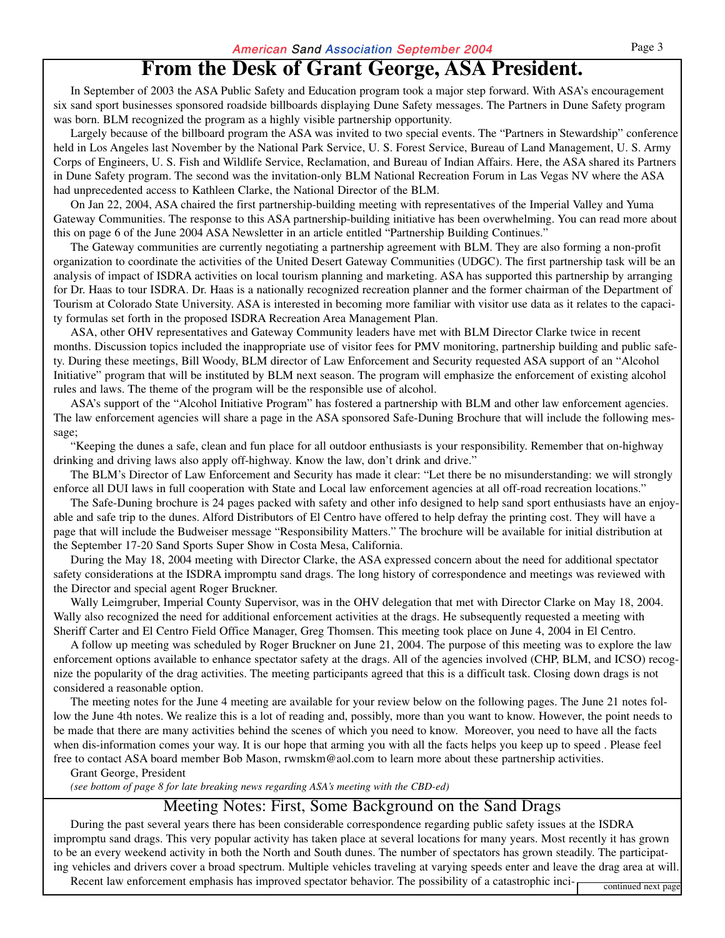### **From the Desk of Grant George, ASA President.**

In September of 2003 the ASA Public Safety and Education program took a major step forward. With ASA's encouragement six sand sport businesses sponsored roadside billboards displaying Dune Safety messages. The Partners in Dune Safety program was born. BLM recognized the program as a highly visible partnership opportunity.

Largely because of the billboard program the ASA was invited to two special events. The "Partners in Stewardship" conference held in Los Angeles last November by the National Park Service, U. S. Forest Service, Bureau of Land Management, U. S. Army Corps of Engineers, U. S. Fish and Wildlife Service, Reclamation, and Bureau of Indian Affairs. Here, the ASA shared its Partners in Dune Safety program. The second was the invitation-only BLM National Recreation Forum in Las Vegas NV where the ASA had unprecedented access to Kathleen Clarke, the National Director of the BLM.

On Jan 22, 2004, ASA chaired the first partnership-building meeting with representatives of the Imperial Valley and Yuma Gateway Communities. The response to this ASA partnership-building initiative has been overwhelming. You can read more about this on page 6 of the June 2004 ASA Newsletter in an article entitled "Partnership Building Continues."

The Gateway communities are currently negotiating a partnership agreement with BLM. They are also forming a non-profit organization to coordinate the activities of the United Desert Gateway Communities (UDGC). The first partnership task will be an analysis of impact of ISDRA activities on local tourism planning and marketing. ASA has supported this partnership by arranging for Dr. Haas to tour ISDRA. Dr. Haas is a nationally recognized recreation planner and the former chairman of the Department of Tourism at Colorado State University. ASA is interested in becoming more familiar with visitor use data as it relates to the capacity formulas set forth in the proposed ISDRA Recreation Area Management Plan.

ASA, other OHV representatives and Gateway Community leaders have met with BLM Director Clarke twice in recent months. Discussion topics included the inappropriate use of visitor fees for PMV monitoring, partnership building and public safety. During these meetings, Bill Woody, BLM director of Law Enforcement and Security requested ASA support of an "Alcohol Initiative" program that will be instituted by BLM next season. The program will emphasize the enforcement of existing alcohol rules and laws. The theme of the program will be the responsible use of alcohol.

ASA's support of the "Alcohol Initiative Program" has fostered a partnership with BLM and other law enforcement agencies. The law enforcement agencies will share a page in the ASA sponsored Safe-Duning Brochure that will include the following message;

"Keeping the dunes a safe, clean and fun place for all outdoor enthusiasts is your responsibility. Remember that on-highway drinking and driving laws also apply off-highway. Know the law, don't drink and drive."

The BLM's Director of Law Enforcement and Security has made it clear: "Let there be no misunderstanding: we will strongly enforce all DUI laws in full cooperation with State and Local law enforcement agencies at all off-road recreation locations."

The Safe-Duning brochure is 24 pages packed with safety and other info designed to help sand sport enthusiasts have an enjoyable and safe trip to the dunes. Alford Distributors of El Centro have offered to help defray the printing cost. They will have a page that will include the Budweiser message "Responsibility Matters." The brochure will be available for initial distribution at the September 17-20 Sand Sports Super Show in Costa Mesa, California.

During the May 18, 2004 meeting with Director Clarke, the ASA expressed concern about the need for additional spectator safety considerations at the ISDRA impromptu sand drags. The long history of correspondence and meetings was reviewed with the Director and special agent Roger Bruckner.

Wally Leimgruber, Imperial County Supervisor, was in the OHV delegation that met with Director Clarke on May 18, 2004. Wally also recognized the need for additional enforcement activities at the drags. He subsequently requested a meeting with Sheriff Carter and El Centro Field Office Manager, Greg Thomsen. This meeting took place on June 4, 2004 in El Centro.

A follow up meeting was scheduled by Roger Bruckner on June 21, 2004. The purpose of this meeting was to explore the law enforcement options available to enhance spectator safety at the drags. All of the agencies involved (CHP, BLM, and ICSO) recognize the popularity of the drag activities. The meeting participants agreed that this is a difficult task. Closing down drags is not considered a reasonable option.

The meeting notes for the June 4 meeting are available for your review below on the following pages. The June 21 notes follow the June 4th notes. We realize this is a lot of reading and, possibly, more than you want to know. However, the point needs to be made that there are many activities behind the scenes of which you need to know. Moreover, you need to have all the facts when dis-information comes your way. It is our hope that arming you with all the facts helps you keep up to speed . Please feel free to contact ASA board member Bob Mason, rwmskm@aol.com to learn more about these partnership activities.

#### Grant George, President

*(see bottom of page 8 for late breaking news regarding ASA's meeting with the CBD-ed)*

### Meeting Notes: First, Some Background on the Sand Drags

During the past several years there has been considerable correspondence regarding public safety issues at the ISDRA impromptu sand drags. This very popular activity has taken place at several locations for many years. Most recently it has grown to be an every weekend activity in both the North and South dunes. The number of spectators has grown steadily. The participating vehicles and drivers cover a broad spectrum. Multiple vehicles traveling at varying speeds enter and leave the drag area at will. Recent law enforcement emphasis has improved spectator behavior. The possibility of a catastrophic inci-<br>continued next page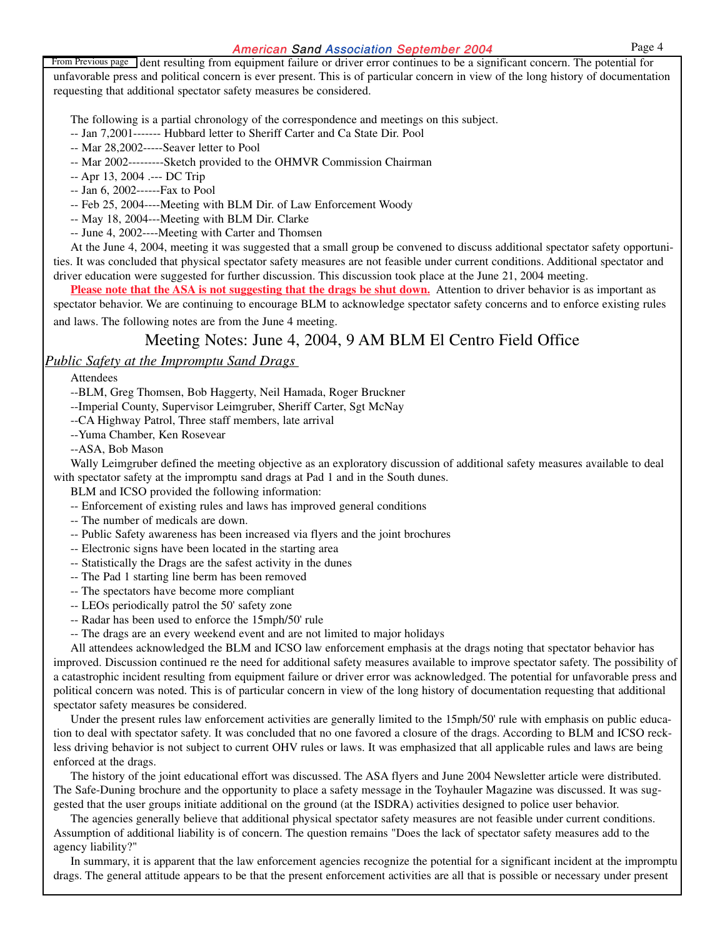From Previous page dent resulting from equipment failure or driver error continues to be a significant concern. The potential for unfavorable press and political concern is ever present. This is of particular concern in view of the long history of documentation requesting that additional spectator safety measures be considered.

The following is a partial chronology of the correspondence and meetings on this subject.

- -- Jan 7,2001------- Hubbard letter to Sheriff Carter and Ca State Dir. Pool
- -- Mar 28,2002-----Seaver letter to Pool
- -- Mar 2002---------Sketch provided to the OHMVR Commission Chairman
- -- Apr 13, 2004 .--- DC Trip
- -- Jan 6, 2002------Fax to Pool
- -- Feb 25, 2004----Meeting with BLM Dir. of Law Enforcement Woody
- -- May 18, 2004---Meeting with BLM Dir. Clarke
- -- June 4, 2002----Meeting with Carter and Thomsen

At the June 4, 2004, meeting it was suggested that a small group be convened to discuss additional spectator safety opportunities. It was concluded that physical spectator safety measures are not feasible under current conditions. Additional spectator and driver education were suggested for further discussion. This discussion took place at the June 21, 2004 meeting.

**Please note that the ASA is not suggesting that the drags be shut down.** Attention to driver behavior is as important as spectator behavior. We are continuing to encourage BLM to acknowledge spectator safety concerns and to enforce existing rules and laws. The following notes are from the June 4 meeting.

### Meeting Notes: June 4, 2004, 9 AM BLM El Centro Field Office

#### *Public Safety at the Impromptu Sand Drags*

Attendees

--BLM, Greg Thomsen, Bob Haggerty, Neil Hamada, Roger Bruckner

--Imperial County, Supervisor Leimgruber, Sheriff Carter, Sgt McNay

--CA Highway Patrol, Three staff members, late arrival

--Yuma Chamber, Ken Rosevear

--ASA, Bob Mason

Wally Leimgruber defined the meeting objective as an exploratory discussion of additional safety measures available to deal with spectator safety at the impromptu sand drags at Pad 1 and in the South dunes.

BLM and ICSO provided the following information:

- -- Enforcement of existing rules and laws has improved general conditions
- -- The number of medicals are down.
- -- Public Safety awareness has been increased via flyers and the joint brochures
- -- Electronic signs have been located in the starting area
- -- Statistically the Drags are the safest activity in the dunes
- -- The Pad 1 starting line berm has been removed
- -- The spectators have become more compliant
- -- LEOs periodically patrol the 50' safety zone
- -- Radar has been used to enforce the 15mph/50' rule
- -- The drags are an every weekend event and are not limited to major holidays

All attendees acknowledged the BLM and ICSO law enforcement emphasis at the drags noting that spectator behavior has improved. Discussion continued re the need for additional safety measures available to improve spectator safety. The possibility of a catastrophic incident resulting from equipment failure or driver error was acknowledged. The potential for unfavorable press and political concern was noted. This is of particular concern in view of the long history of documentation requesting that additional spectator safety measures be considered.

Under the present rules law enforcement activities are generally limited to the 15mph/50' rule with emphasis on public education to deal with spectator safety. It was concluded that no one favored a closure of the drags. According to BLM and ICSO reckless driving behavior is not subject to current OHV rules or laws. It was emphasized that all applicable rules and laws are being enforced at the drags.

The history of the joint educational effort was discussed. The ASA flyers and June 2004 Newsletter article were distributed. The Safe-Duning brochure and the opportunity to place a safety message in the Toyhauler Magazine was discussed. It was suggested that the user groups initiate additional on the ground (at the ISDRA) activities designed to police user behavior.

The agencies generally believe that additional physical spectator safety measures are not feasible under current conditions. Assumption of additional liability is of concern. The question remains "Does the lack of spectator safety measures add to the agency liability?"

In summary, it is apparent that the law enforcement agencies recognize the potential for a significant incident at the impromptu drags. The general attitude appears to be that the present enforcement activities are all that is possible or necessary under present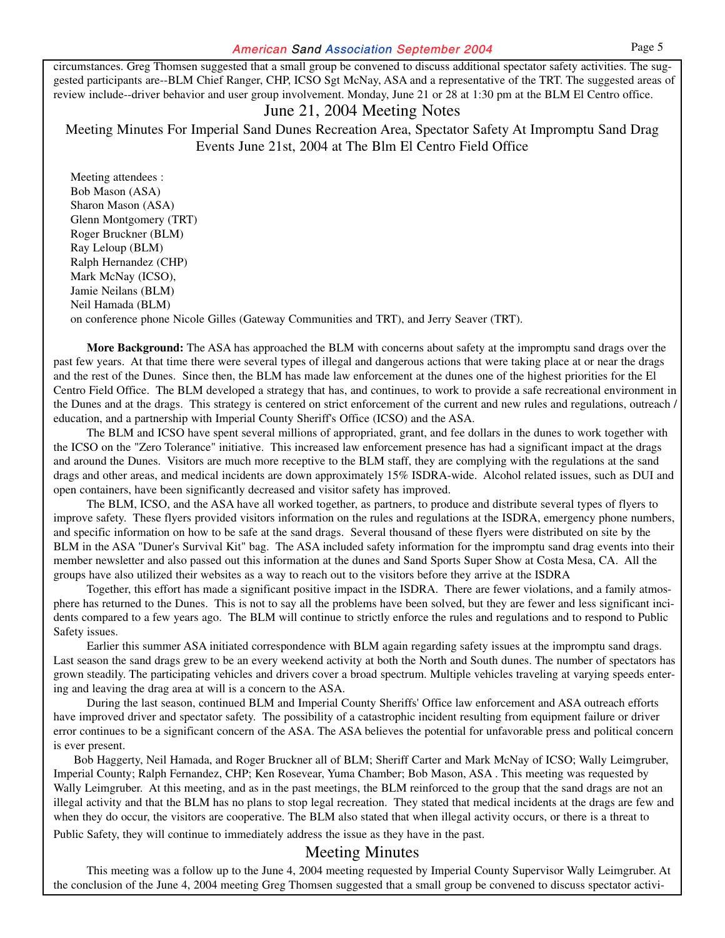circumstances. Greg Thomsen suggested that a small group be convened to discuss additional spectator safety activities. The suggested participants are--BLM Chief Ranger, CHP, ICSO Sgt McNay, ASA and a representative of the TRT. The suggested areas of review include--driver behavior and user group involvement. Monday, June 21 or 28 at 1:30 pm at the BLM El Centro office.

#### June 21, 2004 Meeting Notes

Meeting Minutes For Imperial Sand Dunes Recreation Area, Spectator Safety At Impromptu Sand Drag Events June 21st, 2004 at The Blm El Centro Field Office

Meeting attendees : Bob Mason (ASA) Sharon Mason (ASA) Glenn Montgomery (TRT) Roger Bruckner (BLM) Ray Leloup (BLM) Ralph Hernandez (CHP) Mark McNay (ICSO), Jamie Neilans (BLM) Neil Hamada (BLM) on conference phone Nicole Gilles (Gateway Communities and TRT), and Jerry Seaver (TRT).

**More Background:** The ASA has approached the BLM with concerns about safety at the impromptu sand drags over the past few years. At that time there were several types of illegal and dangerous actions that were taking place at or near the drags and the rest of the Dunes. Since then, the BLM has made law enforcement at the dunes one of the highest priorities for the El Centro Field Office. The BLM developed a strategy that has, and continues, to work to provide a safe recreational environment in the Dunes and at the drags. This strategy is centered on strict enforcement of the current and new rules and regulations, outreach / education, and a partnership with Imperial County Sheriff's Office (ICSO) and the ASA.

The BLM and ICSO have spent several millions of appropriated, grant, and fee dollars in the dunes to work together with the ICSO on the "Zero Tolerance" initiative. This increased law enforcement presence has had a significant impact at the drags and around the Dunes. Visitors are much more receptive to the BLM staff, they are complying with the regulations at the sand drags and other areas, and medical incidents are down approximately 15% ISDRA-wide. Alcohol related issues, such as DUI and open containers, have been significantly decreased and visitor safety has improved.

The BLM, ICSO, and the ASA have all worked together, as partners, to produce and distribute several types of flyers to improve safety. These flyers provided visitors information on the rules and regulations at the ISDRA, emergency phone numbers, and specific information on how to be safe at the sand drags. Several thousand of these flyers were distributed on site by the BLM in the ASA "Duner's Survival Kit" bag. The ASA included safety information for the impromptu sand drag events into their member newsletter and also passed out this information at the dunes and Sand Sports Super Show at Costa Mesa, CA. All the groups have also utilized their websites as a way to reach out to the visitors before they arrive at the ISDRA

Together, this effort has made a significant positive impact in the ISDRA. There are fewer violations, and a family atmosphere has returned to the Dunes. This is not to say all the problems have been solved, but they are fewer and less significant incidents compared to a few years ago. The BLM will continue to strictly enforce the rules and regulations and to respond to Public Safety issues.

Earlier this summer ASA initiated correspondence with BLM again regarding safety issues at the impromptu sand drags. Last season the sand drags grew to be an every weekend activity at both the North and South dunes. The number of spectators has grown steadily. The participating vehicles and drivers cover a broad spectrum. Multiple vehicles traveling at varying speeds entering and leaving the drag area at will is a concern to the ASA.

During the last season, continued BLM and Imperial County Sheriffs' Office law enforcement and ASA outreach efforts have improved driver and spectator safety. The possibility of a catastrophic incident resulting from equipment failure or driver error continues to be a significant concern of the ASA. The ASA believes the potential for unfavorable press and political concern is ever present.

Bob Haggerty, Neil Hamada, and Roger Bruckner all of BLM; Sheriff Carter and Mark McNay of ICSO; Wally Leimgruber, Imperial County; Ralph Fernandez, CHP; Ken Rosevear, Yuma Chamber; Bob Mason, ASA . This meeting was requested by Wally Leimgruber. At this meeting, and as in the past meetings, the BLM reinforced to the group that the sand drags are not an illegal activity and that the BLM has no plans to stop legal recreation. They stated that medical incidents at the drags are few and when they do occur, the visitors are cooperative. The BLM also stated that when illegal activity occurs, or there is a threat to Public Safety, they will continue to immediately address the issue as they have in the past.

#### Meeting Minutes

This meeting was a follow up to the June 4, 2004 meeting requested by Imperial County Supervisor Wally Leimgruber. At the conclusion of the June 4, 2004 meeting Greg Thomsen suggested that a small group be convened to discuss spectator activi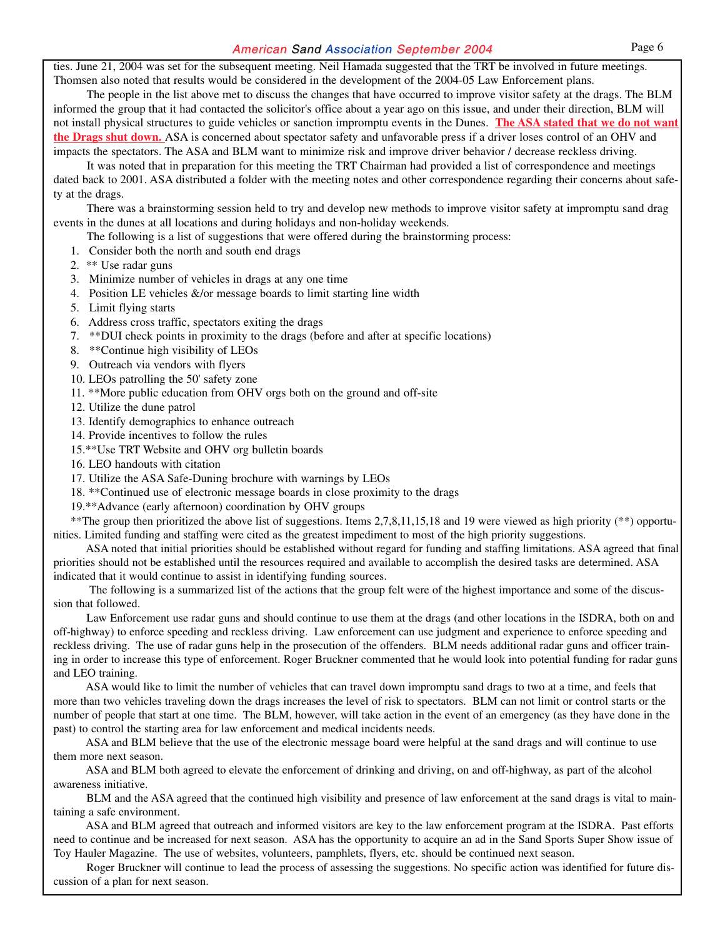ties. June 21, 2004 was set for the subsequent meeting. Neil Hamada suggested that the TRT be involved in future meetings. Thomsen also noted that results would be considered in the development of the 2004-05 Law Enforcement plans.

The people in the list above met to discuss the changes that have occurred to improve visitor safety at the drags. The BLM informed the group that it had contacted the solicitor's office about a year ago on this issue, and under their direction, BLM will not install physical structures to guide vehicles or sanction impromptu events in the Dunes. **The ASA stated that we do not want the Drags shut down.** ASA is concerned about spectator safety and unfavorable press if a driver loses control of an OHV and impacts the spectators. The ASA and BLM want to minimize risk and improve driver behavior / decrease reckless driving.

It was noted that in preparation for this meeting the TRT Chairman had provided a list of correspondence and meetings dated back to 2001. ASA distributed a folder with the meeting notes and other correspondence regarding their concerns about safety at the drags.

There was a brainstorming session held to try and develop new methods to improve visitor safety at impromptu sand drag events in the dunes at all locations and during holidays and non-holiday weekends.

The following is a list of suggestions that were offered during the brainstorming process:

- 1. Consider both the north and south end drags
- 2. \*\* Use radar guns
- 3. Minimize number of vehicles in drags at any one time
- 4. Position LE vehicles &/or message boards to limit starting line width
- 5. Limit flying starts
- 6. Address cross traffic, spectators exiting the drags
- 7. \*\*DUI check points in proximity to the drags (before and after at specific locations)
- 8. \*\*Continue high visibility of LEOs
- 9. Outreach via vendors with flyers
- 10. LEOs patrolling the 50' safety zone
- 11. \*\*More public education from OHV orgs both on the ground and off-site
- 12. Utilize the dune patrol
- 13. Identify demographics to enhance outreach
- 14. Provide incentives to follow the rules
- 15.\*\*Use TRT Website and OHV org bulletin boards
- 16. LEO handouts with citation
- 17. Utilize the ASA Safe-Duning brochure with warnings by LEOs
- 18. \*\*Continued use of electronic message boards in close proximity to the drags
- 19.\*\*Advance (early afternoon) coordination by OHV groups

\*\*The group then prioritized the above list of suggestions. Items 2,7,8,11,15,18 and 19 were viewed as high priority (\*\*) opportunities. Limited funding and staffing were cited as the greatest impediment to most of the high priority suggestions.

ASA noted that initial priorities should be established without regard for funding and staffing limitations. ASA agreed that final priorities should not be established until the resources required and available to accomplish the desired tasks are determined. ASA indicated that it would continue to assist in identifying funding sources.

The following is a summarized list of the actions that the group felt were of the highest importance and some of the discussion that followed.

Law Enforcement use radar guns and should continue to use them at the drags (and other locations in the ISDRA, both on and off-highway) to enforce speeding and reckless driving. Law enforcement can use judgment and experience to enforce speeding and reckless driving. The use of radar guns help in the prosecution of the offenders. BLM needs additional radar guns and officer training in order to increase this type of enforcement. Roger Bruckner commented that he would look into potential funding for radar guns and LEO training.

ASA would like to limit the number of vehicles that can travel down impromptu sand drags to two at a time, and feels that more than two vehicles traveling down the drags increases the level of risk to spectators. BLM can not limit or control starts or the number of people that start at one time. The BLM, however, will take action in the event of an emergency (as they have done in the past) to control the starting area for law enforcement and medical incidents needs.

ASA and BLM believe that the use of the electronic message board were helpful at the sand drags and will continue to use them more next season.

ASA and BLM both agreed to elevate the enforcement of drinking and driving, on and off-highway, as part of the alcohol awareness initiative.

BLM and the ASA agreed that the continued high visibility and presence of law enforcement at the sand drags is vital to maintaining a safe environment.

ASA and BLM agreed that outreach and informed visitors are key to the law enforcement program at the ISDRA. Past efforts need to continue and be increased for next season. ASA has the opportunity to acquire an ad in the Sand Sports Super Show issue of Toy Hauler Magazine. The use of websites, volunteers, pamphlets, flyers, etc. should be continued next season.

Roger Bruckner will continue to lead the process of assessing the suggestions. No specific action was identified for future discussion of a plan for next season.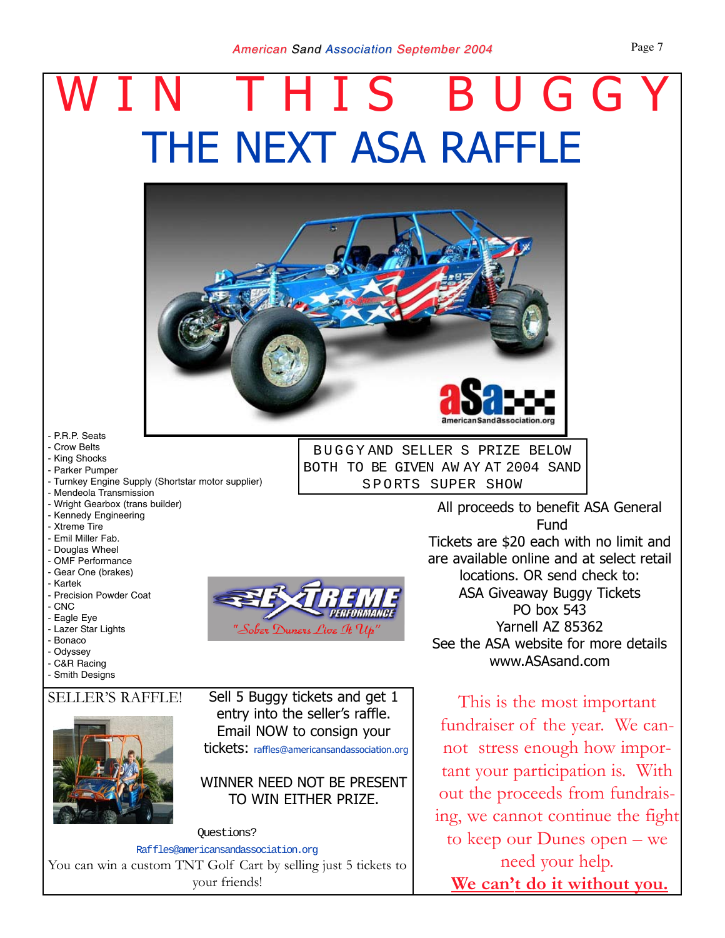# THE NEXT ASA RAFFLE WIN THIS BUGGY



BUGGY AND SELLER S PRIZE BELOW BOTH TO BE GIVEN AW AY AT 2004 SAND SPORTS SUPER SHOW

- P.R.P. Seats

- Crow Belts
- King Shocks
- Parker Pumper
- Turnkey Engine Supply (Shortstar motor supplier)
- Mendeola Transmission
- Wright Gearbox (trans builder)
- Kennedy Engineering
- Xtreme Tire
- Emil Miller Fab.
- Douglas Wheel
- OMF Performance
- Gear One (brakes)
- Kartek
- Precision Powder Coat
- CNC
- Eagle Eye
- Lazer Star Lights - Bonaco
- Odyssey
- C&R Racing
- Smith Designs

#### SELLER'S RAFFLE!



Sell 5 Buggy tickets and get 1 entry into the seller's raffle. Email NOW to consign your tickets: raffles@americansandassociation.org

### WINNER NEED NOT BE PRESENT TO WIN EITHER PRIZE.

Questions? Raffles@americansandassociation.org You can win a custom TNT Golf Cart by selling just 5 tickets to your friends!

All proceeds to benefit ASA General Fund Tickets are \$20 each with no limit and are available online and at select retail locations. OR send check to: ASA Giveaway Buggy Tickets PO box 543 Yarnell AZ 85362 See the ASA website for more details www.ASAsand.com

This is the most important fundraiser of the year. We cannot stress enough how important your participation is. With out the proceeds from fundraising, we cannot continue the fight to keep our Dunes open – we need your help. **We can't do it without you.**

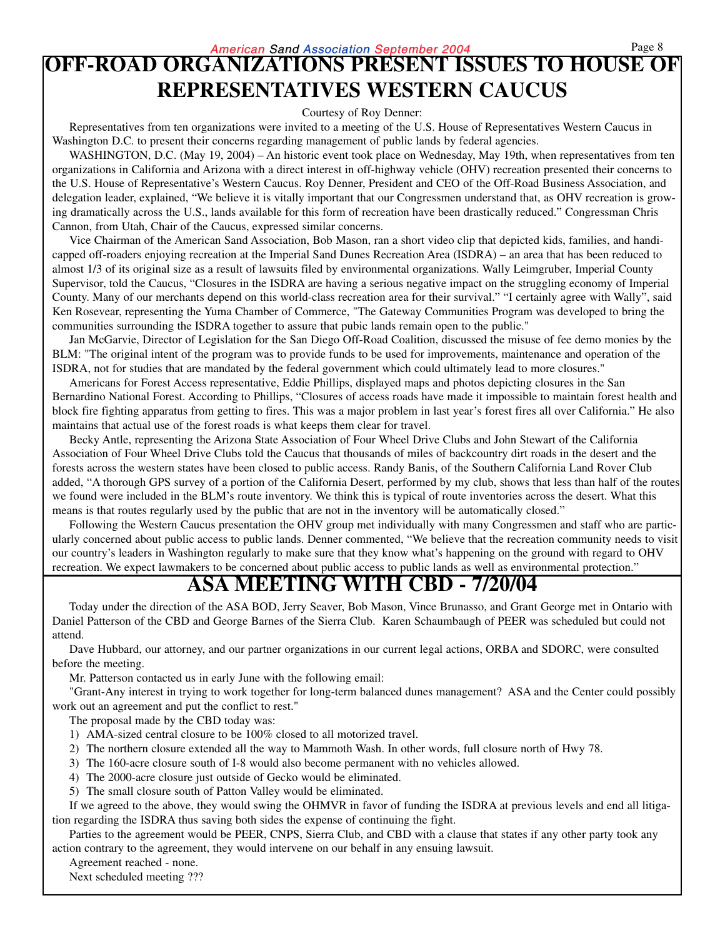### **OFF-ROAD ORGANIZATIONS PRESENT ISSUES TO HOUSE OF REPRESENTATIVES WESTERN CAUCUS**

Courtesy of Roy Denner:

Representatives from ten organizations were invited to a meeting of the U.S. House of Representatives Western Caucus in Washington D.C. to present their concerns regarding management of public lands by federal agencies.

WASHINGTON, D.C. (May 19, 2004) – An historic event took place on Wednesday, May 19th, when representatives from ten organizations in California and Arizona with a direct interest in off-highway vehicle (OHV) recreation presented their concerns to the U.S. House of Representative's Western Caucus. Roy Denner, President and CEO of the Off-Road Business Association, and delegation leader, explained, "We believe it is vitally important that our Congressmen understand that, as OHV recreation is growing dramatically across the U.S., lands available for this form of recreation have been drastically reduced." Congressman Chris Cannon, from Utah, Chair of the Caucus, expressed similar concerns.

Vice Chairman of the American Sand Association, Bob Mason, ran a short video clip that depicted kids, families, and handicapped off-roaders enjoying recreation at the Imperial Sand Dunes Recreation Area (ISDRA) – an area that has been reduced to almost 1/3 of its original size as a result of lawsuits filed by environmental organizations. Wally Leimgruber, Imperial County Supervisor, told the Caucus, "Closures in the ISDRA are having a serious negative impact on the struggling economy of Imperial County. Many of our merchants depend on this world-class recreation area for their survival." "I certainly agree with Wally", said Ken Rosevear, representing the Yuma Chamber of Commerce, "The Gateway Communities Program was developed to bring the communities surrounding the ISDRA together to assure that pubic lands remain open to the public."

Jan McGarvie, Director of Legislation for the San Diego Off-Road Coalition, discussed the misuse of fee demo monies by the BLM: "The original intent of the program was to provide funds to be used for improvements, maintenance and operation of the ISDRA, not for studies that are mandated by the federal government which could ultimately lead to more closures."

Americans for Forest Access representative, Eddie Phillips, displayed maps and photos depicting closures in the San Bernardino National Forest. According to Phillips, "Closures of access roads have made it impossible to maintain forest health and block fire fighting apparatus from getting to fires. This was a major problem in last year's forest fires all over California." He also maintains that actual use of the forest roads is what keeps them clear for travel.

Becky Antle, representing the Arizona State Association of Four Wheel Drive Clubs and John Stewart of the California Association of Four Wheel Drive Clubs told the Caucus that thousands of miles of backcountry dirt roads in the desert and the forests across the western states have been closed to public access. Randy Banis, of the Southern California Land Rover Club added, "A thorough GPS survey of a portion of the California Desert, performed by my club, shows that less than half of the routes we found were included in the BLM's route inventory. We think this is typical of route inventories across the desert. What this means is that routes regularly used by the public that are not in the inventory will be automatically closed."

Following the Western Caucus presentation the OHV group met individually with many Congressmen and staff who are particularly concerned about public access to public lands. Denner commented, "We believe that the recreation community needs to visit our country's leaders in Washington regularly to make sure that they know what's happening on the ground with regard to OHV recreation. We expect lawmakers to be concerned about public access to public lands as well as environmental protection."

### **ASA MEETING WITH CBD - 7/20/04**

Today under the direction of the ASA BOD, Jerry Seaver, Bob Mason, Vince Brunasso, and Grant George met in Ontario with Daniel Patterson of the CBD and George Barnes of the Sierra Club. Karen Schaumbaugh of PEER was scheduled but could not attend.

Dave Hubbard, our attorney, and our partner organizations in our current legal actions, ORBA and SDORC, were consulted before the meeting.

Mr. Patterson contacted us in early June with the following email:

"Grant-Any interest in trying to work together for long-term balanced dunes management? ASA and the Center could possibly work out an agreement and put the conflict to rest."

The proposal made by the CBD today was:

- 1) AMA-sized central closure to be 100% closed to all motorized travel.
- 2) The northern closure extended all the way to Mammoth Wash. In other words, full closure north of Hwy 78.
- 3) The 160-acre closure south of I-8 would also become permanent with no vehicles allowed.
- 4) The 2000-acre closure just outside of Gecko would be eliminated.
- 5) The small closure south of Patton Valley would be eliminated.

If we agreed to the above, they would swing the OHMVR in favor of funding the ISDRA at previous levels and end all litigation regarding the ISDRA thus saving both sides the expense of continuing the fight.

Parties to the agreement would be PEER, CNPS, Sierra Club, and CBD with a clause that states if any other party took any action contrary to the agreement, they would intervene on our behalf in any ensuing lawsuit.

Agreement reached - none.

Next scheduled meeting ???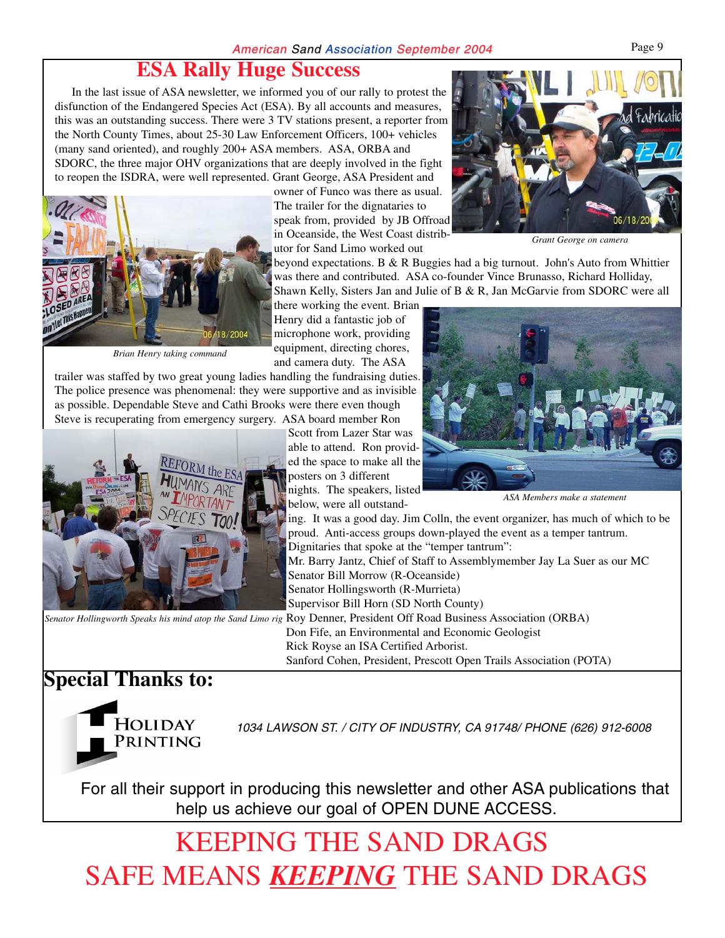### **ESA Rally Huge Success**

In the last issue of ASA newsletter, we informed you of our rally to protest the disfunction of the Endangered Species Act (ESA). By all accounts and measures, this was an outstanding success. There were 3 TV stations present, a reporter from the North County Times, about 25-30 Law Enforcement Officers, 100+ vehicles (many sand oriented), and roughly 200+ ASA members. ASA, ORBA and SDORC, the three major OHV organizations that are deeply involved in the fight to reopen the ISDRA, were well represented. Grant George, ASA President and



*Brian Henry taking command*

owner of Funco was there as usual. The trailer for the dignataries to speak from, provided by JB Offroad in Oceanside, the West Coast distributor for Sand Limo worked out

beyond expectations. B & R Buggies had a big turnout. John's Auto from Whittier was there and contributed. ASA co-founder Vince Brunasso, Richard Holliday, Shawn Kelly, Sisters Jan and Julie of B & R, Jan McGarvie from SDORC were all

there working the event. Brian Henry did a fantastic job of microphone work, providing equipment, directing chores, and camera duty. The ASA

trailer was staffed by two great young ladies handling the fundraising duties. The police presence was phenomenal: they were supportive and as invisible as possible. Dependable Steve and Cathi Brooks were there even though Steve is recuperating from emergency surgery. ASA board member Ron



Scott from Lazer Star was able to attend. Ron provided the space to make all the posters on 3 different nights. The speakers, listed

below, were all outstanding. It was a good day. Jim Colln, the event organizer, has much of which to be proud. Anti-access groups down-played the event as a temper tantrum.

Dignitaries that spoke at the "temper tantrum":

Mr. Barry Jantz, Chief of Staff to Assemblymember Jay La Suer as our MC Senator Bill Morrow (R-Oceanside) Senator Hollingsworth (R-Murrieta)

Supervisor Bill Horn (SD North County)

Senator Hollingworth Speaks his mind atop the Sand Limo rig Roy Denner, President Off Road Business Association (ORBA) Don Fife, an Environmental and Economic Geologist Rick Royse an ISA Certified Arborist. Sanford Cohen, President, Prescott Open Trails Association (POTA)

### **Special Thanks to:**



1034 LAWSON ST. / CITY OF INDUSTRY, CA 91748/ PHONE (626) 912-6008

For all their support in producing this newsletter and other ASA publications that help us achieve our goal of OPEN DUNE ACCESS.

# KEEPING THE SAND DRAGS SAFE MEANS *KEEPING* THE SAND DRAGS



*Grant George on camera*

*ASA Members make a statement*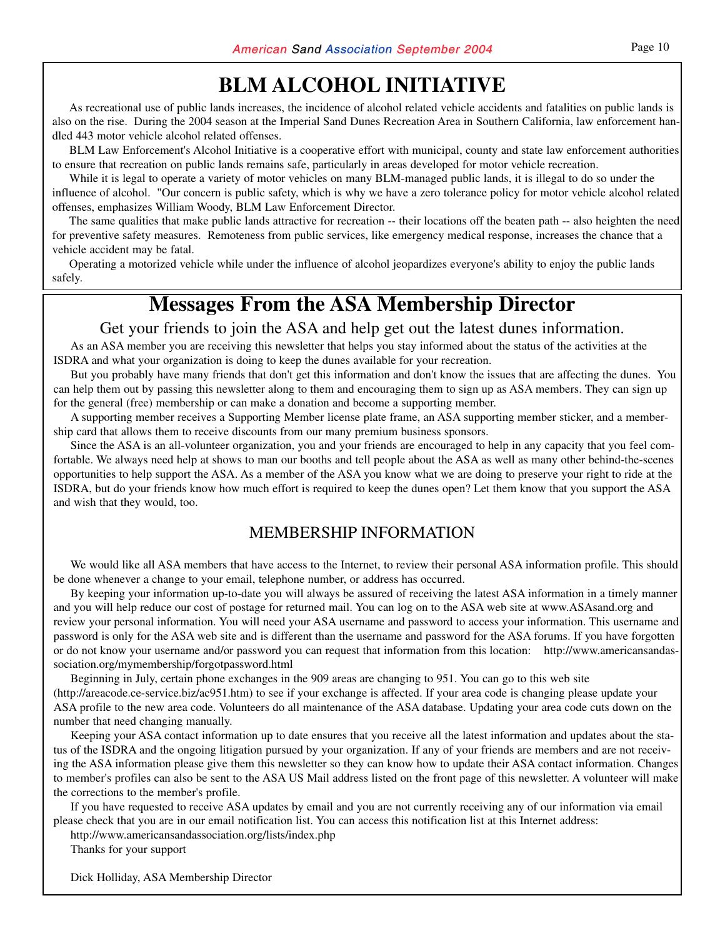### **BLM ALCOHOL INITIATIVE**

As recreational use of public lands increases, the incidence of alcohol related vehicle accidents and fatalities on public lands is also on the rise. During the 2004 season at the Imperial Sand Dunes Recreation Area in Southern California, law enforcement handled 443 motor vehicle alcohol related offenses.

BLM Law Enforcement's Alcohol Initiative is a cooperative effort with municipal, county and state law enforcement authorities to ensure that recreation on public lands remains safe, particularly in areas developed for motor vehicle recreation.

While it is legal to operate a variety of motor vehicles on many BLM-managed public lands, it is illegal to do so under the influence of alcohol. "Our concern is public safety, which is why we have a zero tolerance policy for motor vehicle alcohol related offenses, emphasizes William Woody, BLM Law Enforcement Director.

The same qualities that make public lands attractive for recreation -- their locations off the beaten path -- also heighten the need for preventive safety measures. Remoteness from public services, like emergency medical response, increases the chance that a vehicle accident may be fatal.

Operating a motorized vehicle while under the influence of alcohol jeopardizes everyone's ability to enjoy the public lands safely.

### **Messages From the ASA Membership Director**

Get your friends to join the ASA and help get out the latest dunes information.

As an ASA member you are receiving this newsletter that helps you stay informed about the status of the activities at the ISDRA and what your organization is doing to keep the dunes available for your recreation.

But you probably have many friends that don't get this information and don't know the issues that are affecting the dunes. You can help them out by passing this newsletter along to them and encouraging them to sign up as ASA members. They can sign up for the general (free) membership or can make a donation and become a supporting member.

A supporting member receives a Supporting Member license plate frame, an ASA supporting member sticker, and a membership card that allows them to receive discounts from our many premium business sponsors.

Since the ASA is an all-volunteer organization, you and your friends are encouraged to help in any capacity that you feel comfortable. We always need help at shows to man our booths and tell people about the ASA as well as many other behind-the-scenes opportunities to help support the ASA. As a member of the ASA you know what we are doing to preserve your right to ride at the ISDRA, but do your friends know how much effort is required to keep the dunes open? Let them know that you support the ASA and wish that they would, too.

### MEMBERSHIP INFORMATION

We would like all ASA members that have access to the Internet, to review their personal ASA information profile. This should be done whenever a change to your email, telephone number, or address has occurred.

By keeping your information up-to-date you will always be assured of receiving the latest ASA information in a timely manner and you will help reduce our cost of postage for returned mail. You can log on to the ASA web site at www.ASAsand.org and review your personal information. You will need your ASA username and password to access your information. This username and password is only for the ASA web site and is different than the username and password for the ASA forums. If you have forgotten or do not know your username and/or password you can request that information from this location: http://www.americansandassociation.org/mymembership/forgotpassword.html

Beginning in July, certain phone exchanges in the 909 areas are changing to 951. You can go to this web site (http://areacode.ce-service.biz/ac951.htm) to see if your exchange is affected. If your area code is changing please update your ASA profile to the new area code. Volunteers do all maintenance of the ASA database. Updating your area code cuts down on the number that need changing manually.

Keeping your ASA contact information up to date ensures that you receive all the latest information and updates about the status of the ISDRA and the ongoing litigation pursued by your organization. If any of your friends are members and are not receiving the ASA information please give them this newsletter so they can know how to update their ASA contact information. Changes to member's profiles can also be sent to the ASA US Mail address listed on the front page of this newsletter. A volunteer will make the corrections to the member's profile.

If you have requested to receive ASA updates by email and you are not currently receiving any of our information via email please check that you are in our email notification list. You can access this notification list at this Internet address:

http://www.americansandassociation.org/lists/index.php

Thanks for your support

Dick Holliday, ASA Membership Director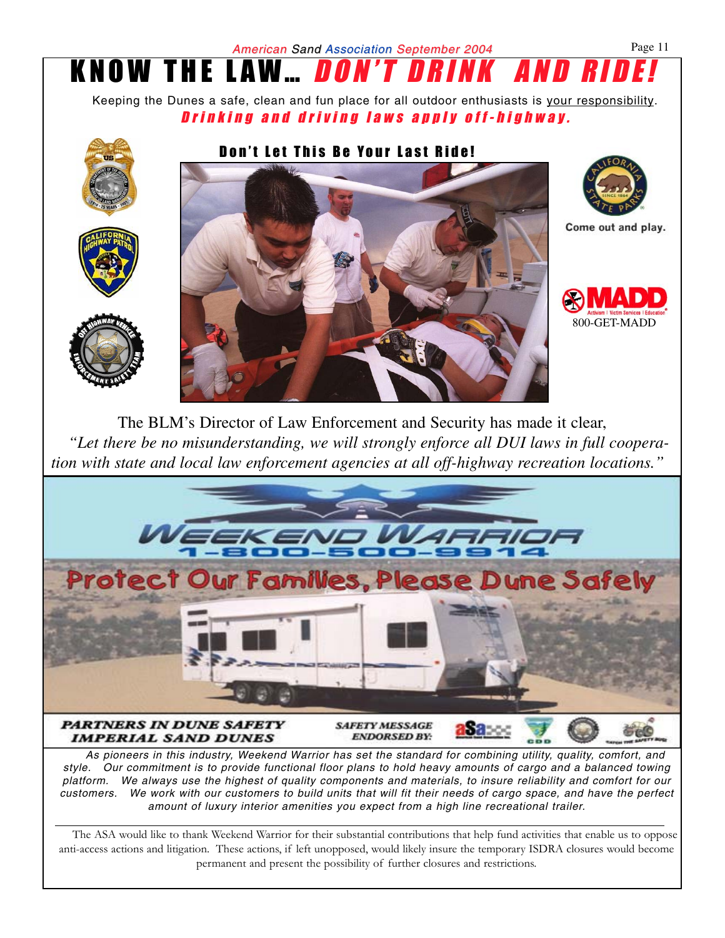



As pioneers in this industry, Weekend Warrior has set the standard for combining utility, quality, comfort, and style. Our commitment is to provide functional floor plans to hold heavy amounts of cargo and a balanced towing platform. We always use the highest of quality components and materials, to insure reliability and comfort for our customers. We work with our customers to build units that will fit their needs of cargo space, and have the perfect amount of luxury interior amenities you expect from a high line recreational trailer.

The ASA would like to thank Weekend Warrior for their substantial contributions that help fund activities that enable us to oppose anti-access actions and litigation. These actions, if left unopposed, would likely insure the temporary ISDRA closures would become permanent and present the possibility of further closures and restrictions.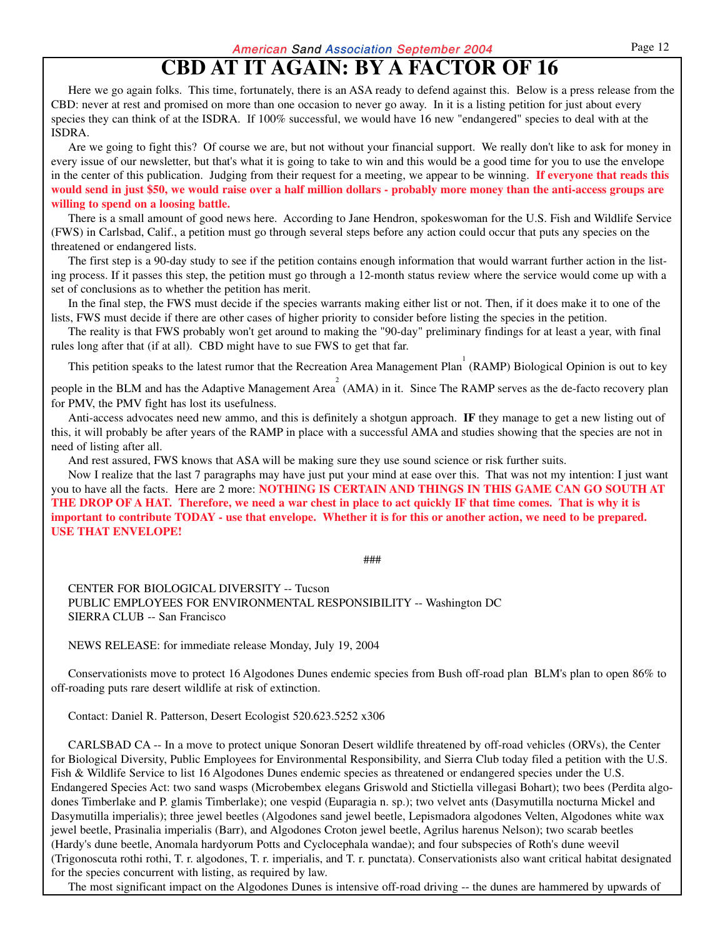### **CBD AT IT AGAIN: BY A FACTOR OF 16**

Here we go again folks. This time, fortunately, there is an ASA ready to defend against this. Below is a press release from the CBD: never at rest and promised on more than one occasion to never go away. In it is a listing petition for just about every species they can think of at the ISDRA. If 100% successful, we would have 16 new "endangered" species to deal with at the ISDRA.

Are we going to fight this? Of course we are, but not without your financial support. We really don't like to ask for money in every issue of our newsletter, but that's what it is going to take to win and this would be a good time for you to use the envelope in the center of this publication. Judging from their request for a meeting, we appear to be winning. **If everyone that reads this would send in just \$50, we would raise over a half million dollars - probably more money than the anti-access groups are willing to spend on a loosing battle.**

There is a small amount of good news here. According to Jane Hendron, spokeswoman for the U.S. Fish and Wildlife Service (FWS) in Carlsbad, Calif., a petition must go through several steps before any action could occur that puts any species on the threatened or endangered lists.

The first step is a 90-day study to see if the petition contains enough information that would warrant further action in the listing process. If it passes this step, the petition must go through a 12-month status review where the service would come up with a set of conclusions as to whether the petition has merit.

In the final step, the FWS must decide if the species warrants making either list or not. Then, if it does make it to one of the lists, FWS must decide if there are other cases of higher priority to consider before listing the species in the petition.

The reality is that FWS probably won't get around to making the "90-day" preliminary findings for at least a year, with final rules long after that (if at all). CBD might have to sue FWS to get that far.

This petition speaks to the latest rumor that the Recreation Area Management Plan  $(RAMP)$  Biological Opinion is out to key

people in the BLM and has the Adaptive Management Area<sup>2</sup> (AMA) in it. Since The RAMP serves as the de-facto recovery plan for PMV, the PMV fight has lost its usefulness.

Anti-access advocates need new ammo, and this is definitely a shotgun approach. **IF** they manage to get a new listing out of this, it will probably be after years of the RAMP in place with a successful AMA and studies showing that the species are not in need of listing after all.

And rest assured, FWS knows that ASA will be making sure they use sound science or risk further suits.

Now I realize that the last 7 paragraphs may have just put your mind at ease over this. That was not my intention: I just want you to have all the facts. Here are 2 more: **NOTHING IS CERTAIN AND THINGS IN THIS GAME CAN GO SOUTH AT THE DROP OF A HAT. Therefore, we need a war chest in place to act quickly IF that time comes. That is why it is important to contribute TODAY - use that envelope. Whether it is for this or another action, we need to be prepared. USE THAT ENVELOPE!**

###

CENTER FOR BIOLOGICAL DIVERSITY -- Tucson PUBLIC EMPLOYEES FOR ENVIRONMENTAL RESPONSIBILITY -- Washington DC SIERRA CLUB -- San Francisco

NEWS RELEASE: for immediate release Monday, July 19, 2004

Conservationists move to protect 16 Algodones Dunes endemic species from Bush off-road plan BLM's plan to open 86% to off-roading puts rare desert wildlife at risk of extinction.

Contact: Daniel R. Patterson, Desert Ecologist 520.623.5252 x306

CARLSBAD CA -- In a move to protect unique Sonoran Desert wildlife threatened by off-road vehicles (ORVs), the Center for Biological Diversity, Public Employees for Environmental Responsibility, and Sierra Club today filed a petition with the U.S. Fish & Wildlife Service to list 16 Algodones Dunes endemic species as threatened or endangered species under the U.S. Endangered Species Act: two sand wasps (Microbembex elegans Griswold and Stictiella villegasi Bohart); two bees (Perdita algodones Timberlake and P. glamis Timberlake); one vespid (Euparagia n. sp.); two velvet ants (Dasymutilla nocturna Mickel and Dasymutilla imperialis); three jewel beetles (Algodones sand jewel beetle, Lepismadora algodones Velten, Algodones white wax jewel beetle, Prasinalia imperialis (Barr), and Algodones Croton jewel beetle, Agrilus harenus Nelson); two scarab beetles (Hardy's dune beetle, Anomala hardyorum Potts and Cyclocephala wandae); and four subspecies of Roth's dune weevil (Trigonoscuta rothi rothi, T. r. algodones, T. r. imperialis, and T. r. punctata). Conservationists also want critical habitat designated for the species concurrent with listing, as required by law.

The most significant impact on the Algodones Dunes is intensive off-road driving -- the dunes are hammered by upwards of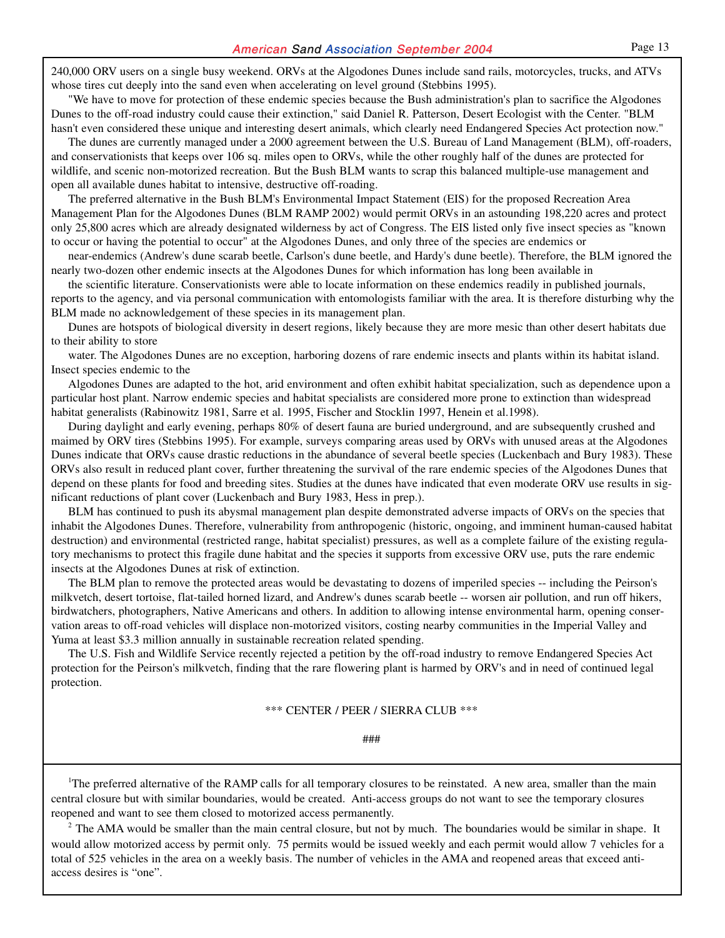240,000 ORV users on a single busy weekend. ORVs at the Algodones Dunes include sand rails, motorcycles, trucks, and ATVs whose tires cut deeply into the sand even when accelerating on level ground (Stebbins 1995).

"We have to move for protection of these endemic species because the Bush administration's plan to sacrifice the Algodones Dunes to the off-road industry could cause their extinction," said Daniel R. Patterson, Desert Ecologist with the Center. "BLM hasn't even considered these unique and interesting desert animals, which clearly need Endangered Species Act protection now."

The dunes are currently managed under a 2000 agreement between the U.S. Bureau of Land Management (BLM), off-roaders, and conservationists that keeps over 106 sq. miles open to ORVs, while the other roughly half of the dunes are protected for wildlife, and scenic non-motorized recreation. But the Bush BLM wants to scrap this balanced multiple-use management and open all available dunes habitat to intensive, destructive off-roading.

The preferred alternative in the Bush BLM's Environmental Impact Statement (EIS) for the proposed Recreation Area Management Plan for the Algodones Dunes (BLM RAMP 2002) would permit ORVs in an astounding 198,220 acres and protect only 25,800 acres which are already designated wilderness by act of Congress. The EIS listed only five insect species as "known to occur or having the potential to occur" at the Algodones Dunes, and only three of the species are endemics or

near-endemics (Andrew's dune scarab beetle, Carlson's dune beetle, and Hardy's dune beetle). Therefore, the BLM ignored the nearly two-dozen other endemic insects at the Algodones Dunes for which information has long been available in

the scientific literature. Conservationists were able to locate information on these endemics readily in published journals, reports to the agency, and via personal communication with entomologists familiar with the area. It is therefore disturbing why the BLM made no acknowledgement of these species in its management plan.

Dunes are hotspots of biological diversity in desert regions, likely because they are more mesic than other desert habitats due to their ability to store

water. The Algodones Dunes are no exception, harboring dozens of rare endemic insects and plants within its habitat island. Insect species endemic to the

Algodones Dunes are adapted to the hot, arid environment and often exhibit habitat specialization, such as dependence upon a particular host plant. Narrow endemic species and habitat specialists are considered more prone to extinction than widespread habitat generalists (Rabinowitz 1981, Sarre et al. 1995, Fischer and Stocklin 1997, Henein et al.1998).

During daylight and early evening, perhaps 80% of desert fauna are buried underground, and are subsequently crushed and maimed by ORV tires (Stebbins 1995). For example, surveys comparing areas used by ORVs with unused areas at the Algodones Dunes indicate that ORVs cause drastic reductions in the abundance of several beetle species (Luckenbach and Bury 1983). These ORVs also result in reduced plant cover, further threatening the survival of the rare endemic species of the Algodones Dunes that depend on these plants for food and breeding sites. Studies at the dunes have indicated that even moderate ORV use results in significant reductions of plant cover (Luckenbach and Bury 1983, Hess in prep.).

BLM has continued to push its abysmal management plan despite demonstrated adverse impacts of ORVs on the species that inhabit the Algodones Dunes. Therefore, vulnerability from anthropogenic (historic, ongoing, and imminent human-caused habitat destruction) and environmental (restricted range, habitat specialist) pressures, as well as a complete failure of the existing regulatory mechanisms to protect this fragile dune habitat and the species it supports from excessive ORV use, puts the rare endemic insects at the Algodones Dunes at risk of extinction.

The BLM plan to remove the protected areas would be devastating to dozens of imperiled species -- including the Peirson's milkvetch, desert tortoise, flat-tailed horned lizard, and Andrew's dunes scarab beetle -- worsen air pollution, and run off hikers, birdwatchers, photographers, Native Americans and others. In addition to allowing intense environmental harm, opening conservation areas to off-road vehicles will displace non-motorized visitors, costing nearby communities in the Imperial Valley and Yuma at least \$3.3 million annually in sustainable recreation related spending.

The U.S. Fish and Wildlife Service recently rejected a petition by the off-road industry to remove Endangered Species Act protection for the Peirson's milkvetch, finding that the rare flowering plant is harmed by ORV's and in need of continued legal protection.

\*\*\* CENTER / PEER / SIERRA CLUB \*\*\*

###

<sup>1</sup>The preferred alternative of the RAMP calls for all temporary closures to be reinstated. A new area, smaller than the main central closure but with similar boundaries, would be created. Anti-access groups do not want to see the temporary closures reopened and want to see them closed to motorized access permanently.

 $2$  The AMA would be smaller than the main central closure, but not by much. The boundaries would be similar in shape. It would allow motorized access by permit only. 75 permits would be issued weekly and each permit would allow 7 vehicles for a total of 525 vehicles in the area on a weekly basis. The number of vehicles in the AMA and reopened areas that exceed antiaccess desires is "one".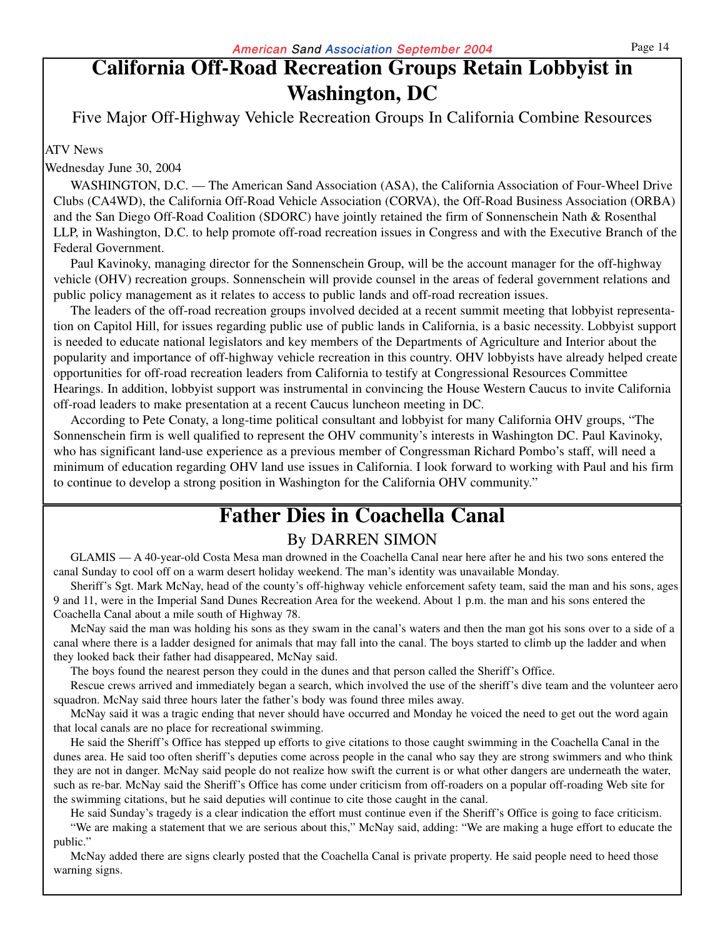### **California Off-Road Recreation Groups Retain Lobbyist in Washington, DC**

Five Major Off-Highway Vehicle Recreation Groups In California Combine Resources

#### ATV News

Wednesday June 30, 2004

WASHINGTON, D.C. — The American Sand Association (ASA), the California Association of Four-Wheel Drive Clubs (CA4WD), the California Off-Road Vehicle Association (CORVA), the Off-Road Business Association (ORBA) and the San Diego Off-Road Coalition (SDORC) have jointly retained the firm of Sonnenschein Nath & Rosenthal LLP, in Washington, D.C. to help promote off-road recreation issues in Congress and with the Executive Branch of the Federal Government.

Paul Kavinoky, managing director for the Sonnenschein Group, will be the account manager for the off-highway vehicle (OHV) recreation groups. Sonnenschein will provide counsel in the areas of federal government relations and public policy management as it relates to access to public lands and off-road recreation issues.

The leaders of the off-road recreation groups involved decided at a recent summit meeting that lobbyist representation on Capitol Hill, for issues regarding public use of public lands in California, is a basic necessity. Lobbyist support is needed to educate national legislators and key members of the Departments of Agriculture and Interior about the popularity and importance of off-highway vehicle recreation in this country. OHV lobbyists have already helped create opportunities for off-road recreation leaders from California to testify at Congressional Resources Committee Hearings. In addition, lobbyist support was instrumental in convincing the House Western Caucus to invite California off-road leaders to make presentation at a recent Caucus luncheon meeting in DC.

According to Pete Conaty, a long-time political consultant and lobbyist for many California OHV groups, "The Sonnenschein firm is well qualified to represent the OHV community's interests in Washington DC. Paul Kavinoky, who has significant land-use experience as a previous member of Congressman Richard Pombo's staff, will need a minimum of education regarding OHV land use issues in California. I look forward to working with Paul and his firm to continue to develop a strong position in Washington for the California OHV community."

### **Father Dies in Coachella Canal**

### By DARREN SIMON

GLAMIS — A 40-year-old Costa Mesa man drowned in the Coachella Canal near here after he and his two sons entered the canal Sunday to cool off on a warm desert holiday weekend. The man's identity was unavailable Monday.

Sheriff's Sgt. Mark McNay, head of the county's off-highway vehicle enforcement safety team, said the man and his sons, ages 9 and 11, were in the Imperial Sand Dunes Recreation Area for the weekend. About 1 p.m. the man and his sons entered the Coachella Canal about a mile south of Highway 78.

McNay said the man was holding his sons as they swam in the canal's waters and then the man got his sons over to a side of a canal where there is a ladder designed for animals that may fall into the canal. The boys started to climb up the ladder and when they looked back their father had disappeared, McNay said.

The boys found the nearest person they could in the dunes and that person called the Sheriff's Office.

Rescue crews arrived and immediately began a search, which involved the use of the sheriff's dive team and the volunteer aero squadron. McNay said three hours later the father's body was found three miles away.

McNay said it was a tragic ending that never should have occurred and Monday he voiced the need to get out the word again that local canals are no place for recreational swimming.

He said the Sheriff's Office has stepped up efforts to give citations to those caught swimming in the Coachella Canal in the dunes area. He said too often sheriff's deputies come across people in the canal who say they are strong swimmers and who think they are not in danger. McNay said people do not realize how swift the current is or what other dangers are underneath the water, such as re-bar. McNay said the Sheriff's Office has come under criticism from off-roaders on a popular off-roading Web site for the swimming citations, but he said deputies will continue to cite those caught in the canal.

He said Sunday's tragedy is a clear indication the effort must continue even if the Sheriff's Office is going to face criticism.

"We are making a statement that we are serious about this," McNay said, adding: "We are making a huge effort to educate the public."

McNay added there are signs clearly posted that the Coachella Canal is private property. He said people need to heed those warning signs.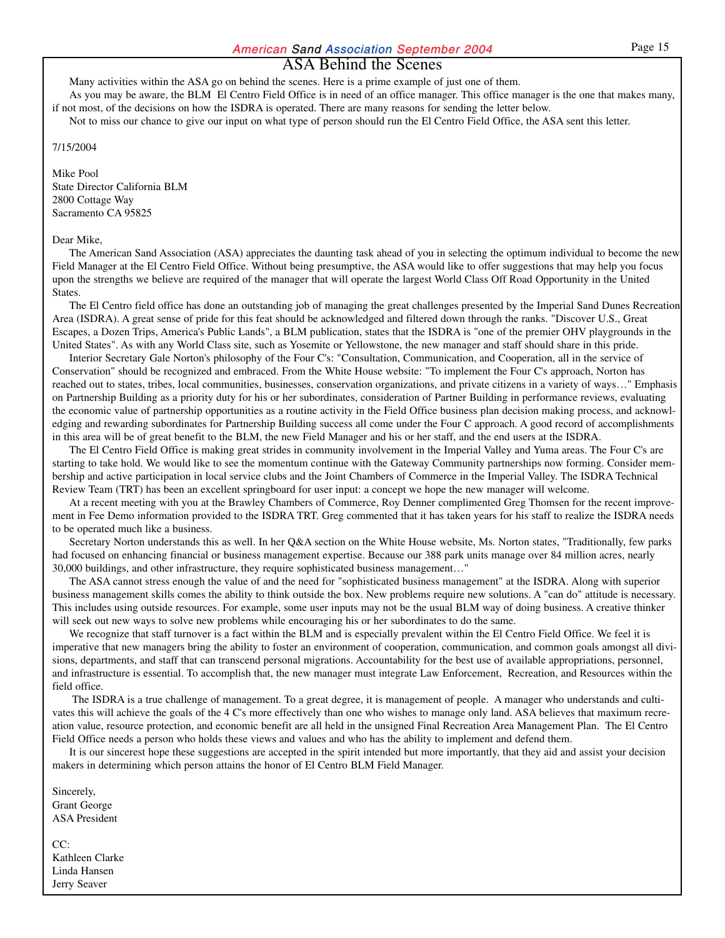#### ASA Behind the Scenes

Many activities within the ASA go on behind the scenes. Here is a prime example of just one of them. As you may be aware, the BLM El Centro Field Office is in need of an office manager. This office manager is the one that makes many,

if not most, of the decisions on how the ISDRA is operated. There are many reasons for sending the letter below. Not to miss our chance to give our input on what type of person should run the El Centro Field Office, the ASA sent this letter.

7/15/2004

Mike Pool State Director California BLM 2800 Cottage Way Sacramento CA 95825

#### Dear Mike,

The American Sand Association (ASA) appreciates the daunting task ahead of you in selecting the optimum individual to become the new Field Manager at the El Centro Field Office. Without being presumptive, the ASA would like to offer suggestions that may help you focus upon the strengths we believe are required of the manager that will operate the largest World Class Off Road Opportunity in the United States.

The El Centro field office has done an outstanding job of managing the great challenges presented by the Imperial Sand Dunes Recreation Area (ISDRA). A great sense of pride for this feat should be acknowledged and filtered down through the ranks. "Discover U.S., Great Escapes, a Dozen Trips, America's Public Lands", a BLM publication, states that the ISDRA is "one of the premier OHV playgrounds in the United States". As with any World Class site, such as Yosemite or Yellowstone, the new manager and staff should share in this pride.

Interior Secretary Gale Norton's philosophy of the Four C's: "Consultation, Communication, and Cooperation, all in the service of Conservation" should be recognized and embraced. From the White House website: "To implement the Four C's approach, Norton has reached out to states, tribes, local communities, businesses, conservation organizations, and private citizens in a variety of ways…" Emphasis on Partnership Building as a priority duty for his or her subordinates, consideration of Partner Building in performance reviews, evaluating the economic value of partnership opportunities as a routine activity in the Field Office business plan decision making process, and acknowledging and rewarding subordinates for Partnership Building success all come under the Four C approach. A good record of accomplishments in this area will be of great benefit to the BLM, the new Field Manager and his or her staff, and the end users at the ISDRA.

The El Centro Field Office is making great strides in community involvement in the Imperial Valley and Yuma areas. The Four C's are starting to take hold. We would like to see the momentum continue with the Gateway Community partnerships now forming. Consider membership and active participation in local service clubs and the Joint Chambers of Commerce in the Imperial Valley. The ISDRA Technical Review Team (TRT) has been an excellent springboard for user input: a concept we hope the new manager will welcome.

At a recent meeting with you at the Brawley Chambers of Commerce, Roy Denner complimented Greg Thomsen for the recent improvement in Fee Demo information provided to the ISDRA TRT. Greg commented that it has taken years for his staff to realize the ISDRA needs to be operated much like a business.

Secretary Norton understands this as well. In her Q&A section on the White House website, Ms. Norton states, "Traditionally, few parks had focused on enhancing financial or business management expertise. Because our 388 park units manage over 84 million acres, nearly 30,000 buildings, and other infrastructure, they require sophisticated business management…"

The ASA cannot stress enough the value of and the need for "sophisticated business management" at the ISDRA. Along with superior business management skills comes the ability to think outside the box. New problems require new solutions. A "can do" attitude is necessary. This includes using outside resources. For example, some user inputs may not be the usual BLM way of doing business. A creative thinker will seek out new ways to solve new problems while encouraging his or her subordinates to do the same.

We recognize that staff turnover is a fact within the BLM and is especially prevalent within the El Centro Field Office. We feel it is imperative that new managers bring the ability to foster an environment of cooperation, communication, and common goals amongst all divisions, departments, and staff that can transcend personal migrations. Accountability for the best use of available appropriations, personnel, and infrastructure is essential. To accomplish that, the new manager must integrate Law Enforcement, Recreation, and Resources within the field office.

The ISDRA is a true challenge of management. To a great degree, it is management of people. A manager who understands and cultivates this will achieve the goals of the 4 C's more effectively than one who wishes to manage only land. ASA believes that maximum recreation value, resource protection, and economic benefit are all held in the unsigned Final Recreation Area Management Plan. The El Centro Field Office needs a person who holds these views and values and who has the ability to implement and defend them.

It is our sincerest hope these suggestions are accepted in the spirit intended but more importantly, that they aid and assist your decision makers in determining which person attains the honor of El Centro BLM Field Manager.

Sincerely, Grant George ASA President

 $CC$ Kathleen Clarke Linda Hansen Jerry Seaver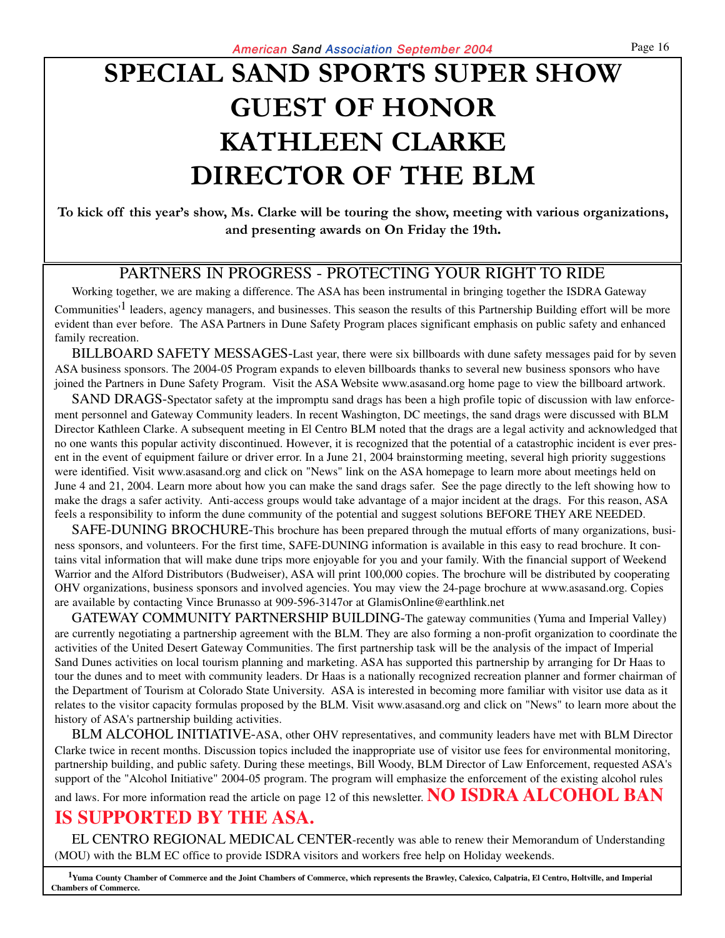# **SPECIAL SAND SPORTS SUPER SHOW GUEST OF HONOR KATHLEEN CLARKE DIRECTOR OF THE BLM**

**To kick off this year's show, Ms. Clarke will be touring the show, meeting with various organizations, and presenting awards on On Friday the 19th.**

### PARTNERS IN PROGRESS - PROTECTING YOUR RIGHT TO RIDE

Working together, we are making a difference. The ASA has been instrumental in bringing together the ISDRA Gateway Communities'1 leaders, agency managers, and businesses. This season the results of this Partnership Building effort will be more evident than ever before. The ASA Partners in Dune Safety Program places significant emphasis on public safety and enhanced family recreation.

BILLBOARD SAFETY MESSAGES-Last year, there were six billboards with dune safety messages paid for by seven ASA business sponsors. The 2004-05 Program expands to eleven billboards thanks to several new business sponsors who have joined the Partners in Dune Safety Program. Visit the ASA Website www.asasand.org home page to view the billboard artwork.

SAND DRAGS-Spectator safety at the impromptu sand drags has been a high profile topic of discussion with law enforcement personnel and Gateway Community leaders. In recent Washington, DC meetings, the sand drags were discussed with BLM Director Kathleen Clarke. A subsequent meeting in El Centro BLM noted that the drags are a legal activity and acknowledged that no one wants this popular activity discontinued. However, it is recognized that the potential of a catastrophic incident is ever present in the event of equipment failure or driver error. In a June 21, 2004 brainstorming meeting, several high priority suggestions were identified. Visit www.asasand.org and click on "News" link on the ASA homepage to learn more about meetings held on June 4 and 21, 2004. Learn more about how you can make the sand drags safer. See the page directly to the left showing how to make the drags a safer activity. Anti-access groups would take advantage of a major incident at the drags. For this reason, ASA feels a responsibility to inform the dune community of the potential and suggest solutions BEFORE THEY ARE NEEDED.

SAFE-DUNING BROCHURE-This brochure has been prepared through the mutual efforts of many organizations, business sponsors, and volunteers. For the first time, SAFE-DUNING information is available in this easy to read brochure. It contains vital information that will make dune trips more enjoyable for you and your family. With the financial support of Weekend Warrior and the Alford Distributors (Budweiser), ASA will print 100,000 copies. The brochure will be distributed by cooperating OHV organizations, business sponsors and involved agencies. You may view the 24-page brochure at www.asasand.org. Copies are available by contacting Vince Brunasso at 909-596-3147or at GlamisOnline@earthlink.net

GATEWAY COMMUNITY PARTNERSHIP BUILDING-The gateway communities (Yuma and Imperial Valley) are currently negotiating a partnership agreement with the BLM. They are also forming a non-profit organization to coordinate the activities of the United Desert Gateway Communities. The first partnership task will be the analysis of the impact of Imperial Sand Dunes activities on local tourism planning and marketing. ASA has supported this partnership by arranging for Dr Haas to tour the dunes and to meet with community leaders. Dr Haas is a nationally recognized recreation planner and former chairman of the Department of Tourism at Colorado State University. ASA is interested in becoming more familiar with visitor use data as it relates to the visitor capacity formulas proposed by the BLM. Visit www.asasand.org and click on "News" to learn more about the history of ASA's partnership building activities.

BLM ALCOHOL INITIATIVE-ASA, other OHV representatives, and community leaders have met with BLM Director Clarke twice in recent months. Discussion topics included the inappropriate use of visitor use fees for environmental monitoring, partnership building, and public safety. During these meetings, Bill Woody, BLM Director of Law Enforcement, requested ASA's support of the "Alcohol Initiative" 2004-05 program. The program will emphasize the enforcement of the existing alcohol rules

and laws. For more information read the article on page 12 of this newsletter. **NO ISDRA ALCOHOL BAN**

### **IS SUPPORTED BY THE ASA.**

EL CENTRO REGIONAL MEDICAL CENTER-recently was able to renew their Memorandum of Understanding (MOU) with the BLM EC office to provide ISDRA visitors and workers free help on Holiday weekends.

**1Yuma County Chamber of Commerce and the Joint Chambers of Commerce, which represents the Brawley, Calexico, Calpatria, El Centro, Holtville, and Imperial Chambers of Commerce.**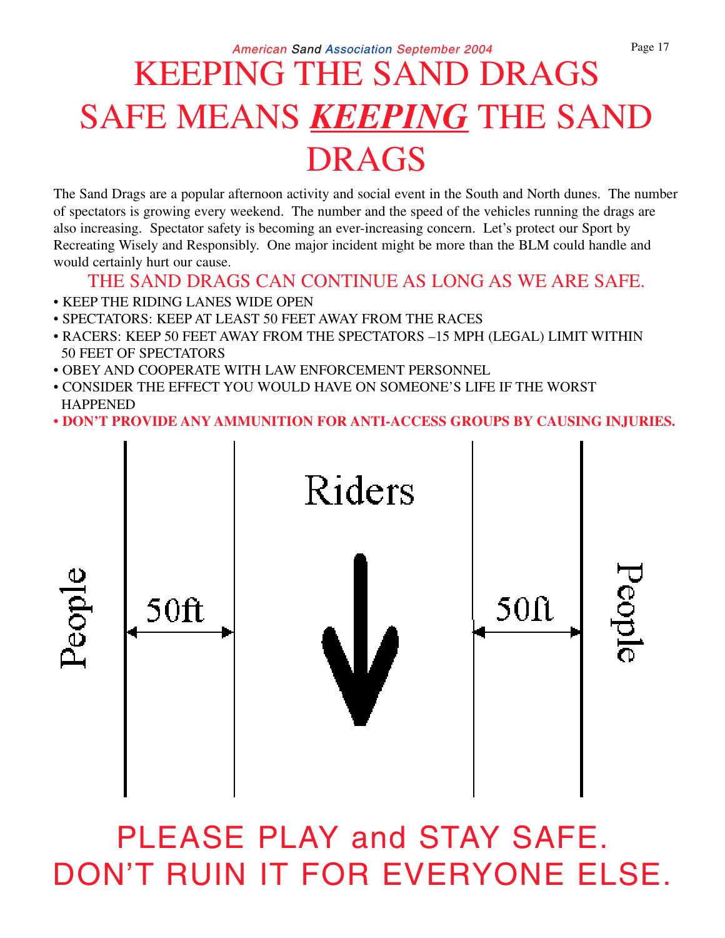# KEEPING THE SAND DRAGS SAFE MEANS *KEEPING* THE SAND DRAGS

The Sand Drags are a popular afternoon activity and social event in the South and North dunes. The number of spectators is growing every weekend. The number and the speed of the vehicles running the drags are also increasing. Spectator safety is becoming an ever-increasing concern. Let's protect our Sport by Recreating Wisely and Responsibly. One major incident might be more than the BLM could handle and would certainly hurt our cause.

### THE SAND DRAGS CAN CONTINUE AS LONG AS WE ARE SAFE.

- KEEP THE RIDING LANES WIDE OPEN
- SPECTATORS: KEEP AT LEAST 50 FEET AWAY FROM THE RACES
- RACERS: KEEP 50 FEET AWAY FROM THE SPECTATORS –15 MPH (LEGAL) LIMIT WITHIN 50 FEET OF SPECTATORS
- OBEY AND COOPERATE WITH LAW ENFORCEMENT PERSONNEL
- CONSIDER THE EFFECT YOU WOULD HAVE ON SOMEONE'S LIFE IF THE WORST **HAPPENED**
- **DON'T PROVIDE ANY AMMUNITION FOR ANTI-ACCESS GROUPS BY CAUSING INJURIES.**



# PLEASE PLAY and STAY SAFE. DON'T RUIN IT FOR EVERYONE ELSE.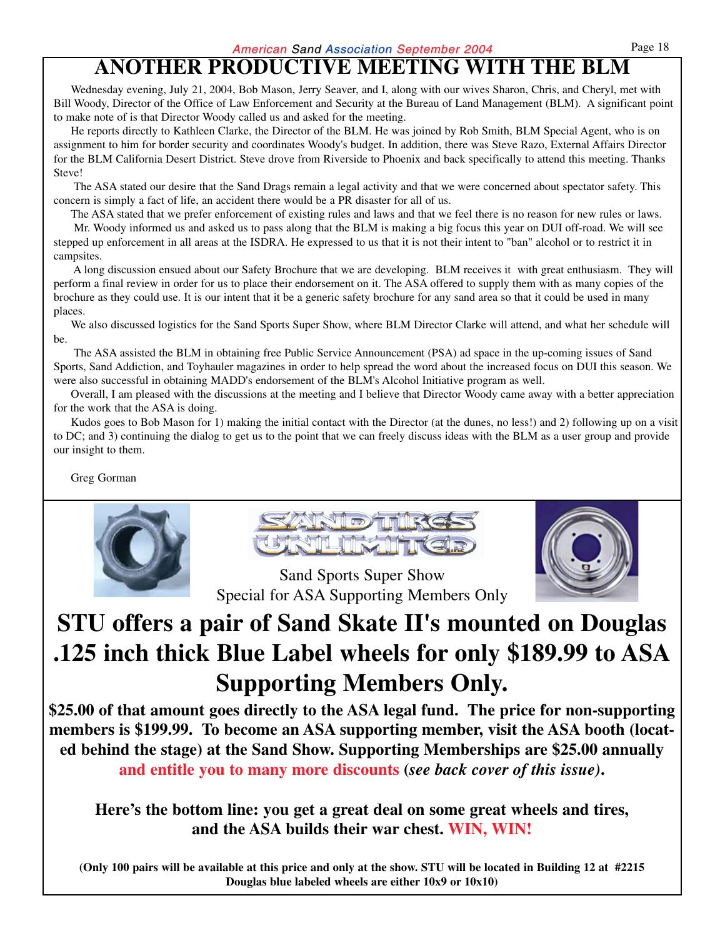### **ANOTHER PRODUCTIVE MEETING WITH THE BLM**

Wednesday evening, July 21, 2004, Bob Mason, Jerry Seaver, and I, along with our wives Sharon, Chris, and Cheryl, met with Bill Woody, Director of the Office of Law Enforcement and Security at the Bureau of Land Management (BLM). A significant point to make note of is that Director Woody called us and asked for the meeting.

He reports directly to Kathleen Clarke, the Director of the BLM. He was joined by Rob Smith, BLM Special Agent, who is on assignment to him for border security and coordinates Woody's budget. In addition, there was Steve Razo, External Affairs Director for the BLM California Desert District. Steve drove from Riverside to Phoenix and back specifically to attend this meeting. Thanks Steve!

The ASA stated our desire that the Sand Drags remain a legal activity and that we were concerned about spectator safety. This concern is simply a fact of life, an accident there would be a PR disaster for all of us.

The ASA stated that we prefer enforcement of existing rules and laws and that we feel there is no reason for new rules or laws.

Mr. Woody informed us and asked us to pass along that the BLM is making a big focus this year on DUI off-road. We will see stepped up enforcement in all areas at the ISDRA. He expressed to us that it is not their intent to "ban" alcohol or to restrict it in campsites.

A long discussion ensued about our Safety Brochure that we are developing. BLM receives it with great enthusiasm. They will perform a final review in order for us to place their endorsement on it. The ASA offered to supply them with as many copies of the brochure as they could use. It is our intent that it be a generic safety brochure for any sand area so that it could be used in many places.

We also discussed logistics for the Sand Sports Super Show, where BLM Director Clarke will attend, and what her schedule will be.

The ASA assisted the BLM in obtaining free Public Service Announcement (PSA) ad space in the up-coming issues of Sand Sports, Sand Addiction, and Toyhauler magazines in order to help spread the word about the increased focus on DUI this season. We were also successful in obtaining MADD's endorsement of the BLM's Alcohol Initiative program as well.

Overall, I am pleased with the discussions at the meeting and I believe that Director Woody came away with a better appreciation for the work that the ASA is doing.

Kudos goes to Bob Mason for 1) making the initial contact with the Director (at the dunes, no less!) and 2) following up on a visit to DC; and 3) continuing the dialog to get us to the point that we can freely discuss ideas with the BLM as a user group and provide our insight to them.

Greg Gorman







Sand Sports Super Show Special for ASA Supporting Members Only

# **STU offers a pair of Sand Skate II's mounted on Douglas .125 inch thick Blue Label wheels for only \$189.99 to ASA Supporting Members Only.**

**\$25.00 of that amount goes directly to the ASA legal fund. The price for non-supporting members is \$199.99. To become an ASA supporting member, visit the ASA booth (located behind the stage) at the Sand Show. Supporting Memberships are \$25.00 annually and entitle you to many more discounts (***see back cover of this issue)***.**

**Here's the bottom line: you get a great deal on some great wheels and tires, and the ASA builds their war chest. WIN, WIN!**

**(Only 100 pairs will be available at this price and only at the show. STU will be located in Building 12 at #2215 Douglas blue labeled wheels are either 10x9 or 10x10)**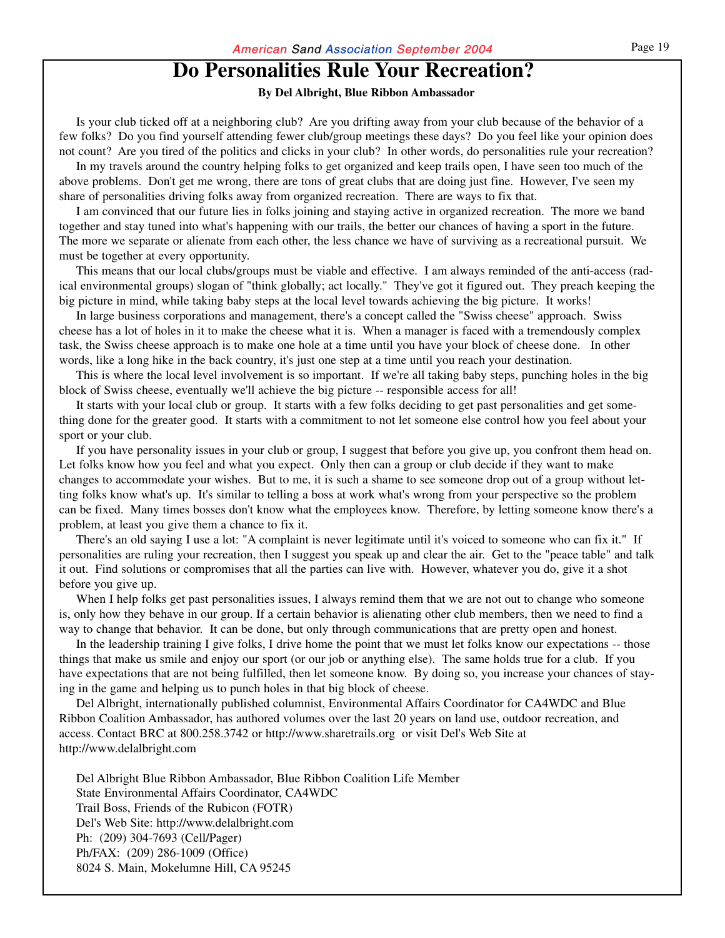### **Do Personalities Rule Your Recreation?**

#### **By Del Albright, Blue Ribbon Ambassador**

Is your club ticked off at a neighboring club? Are you drifting away from your club because of the behavior of a few folks? Do you find yourself attending fewer club/group meetings these days? Do you feel like your opinion does not count? Are you tired of the politics and clicks in your club? In other words, do personalities rule your recreation?

In my travels around the country helping folks to get organized and keep trails open, I have seen too much of the above problems. Don't get me wrong, there are tons of great clubs that are doing just fine. However, I've seen my share of personalities driving folks away from organized recreation. There are ways to fix that.

I am convinced that our future lies in folks joining and staying active in organized recreation. The more we band together and stay tuned into what's happening with our trails, the better our chances of having a sport in the future. The more we separate or alienate from each other, the less chance we have of surviving as a recreational pursuit. We must be together at every opportunity.

This means that our local clubs/groups must be viable and effective. I am always reminded of the anti-access (radical environmental groups) slogan of "think globally; act locally." They've got it figured out. They preach keeping the big picture in mind, while taking baby steps at the local level towards achieving the big picture. It works!

In large business corporations and management, there's a concept called the "Swiss cheese" approach. Swiss cheese has a lot of holes in it to make the cheese what it is. When a manager is faced with a tremendously complex task, the Swiss cheese approach is to make one hole at a time until you have your block of cheese done. In other words, like a long hike in the back country, it's just one step at a time until you reach your destination.

This is where the local level involvement is so important. If we're all taking baby steps, punching holes in the big block of Swiss cheese, eventually we'll achieve the big picture -- responsible access for all!

It starts with your local club or group. It starts with a few folks deciding to get past personalities and get something done for the greater good. It starts with a commitment to not let someone else control how you feel about your sport or your club.

If you have personality issues in your club or group, I suggest that before you give up, you confront them head on. Let folks know how you feel and what you expect. Only then can a group or club decide if they want to make changes to accommodate your wishes. But to me, it is such a shame to see someone drop out of a group without letting folks know what's up. It's similar to telling a boss at work what's wrong from your perspective so the problem can be fixed. Many times bosses don't know what the employees know. Therefore, by letting someone know there's a problem, at least you give them a chance to fix it.

There's an old saying I use a lot: "A complaint is never legitimate until it's voiced to someone who can fix it." If personalities are ruling your recreation, then I suggest you speak up and clear the air. Get to the "peace table" and talk it out. Find solutions or compromises that all the parties can live with. However, whatever you do, give it a shot before you give up.

When I help folks get past personalities issues, I always remind them that we are not out to change who someone is, only how they behave in our group. If a certain behavior is alienating other club members, then we need to find a way to change that behavior. It can be done, but only through communications that are pretty open and honest.

In the leadership training I give folks, I drive home the point that we must let folks know our expectations -- those things that make us smile and enjoy our sport (or our job or anything else). The same holds true for a club. If you have expectations that are not being fulfilled, then let someone know. By doing so, you increase your chances of staying in the game and helping us to punch holes in that big block of cheese.

Del Albright, internationally published columnist, Environmental Affairs Coordinator for CA4WDC and Blue Ribbon Coalition Ambassador, has authored volumes over the last 20 years on land use, outdoor recreation, and access. Contact BRC at 800.258.3742 or http://www.sharetrails.org or visit Del's Web Site at http://www.delalbright.com

Del Albright Blue Ribbon Ambassador, Blue Ribbon Coalition Life Member State Environmental Affairs Coordinator, CA4WDC Trail Boss, Friends of the Rubicon (FOTR) Del's Web Site: http://www.delalbright.com Ph: (209) 304-7693 (Cell/Pager) Ph/FAX: (209) 286-1009 (Office) 8024 S. Main, Mokelumne Hill, CA 95245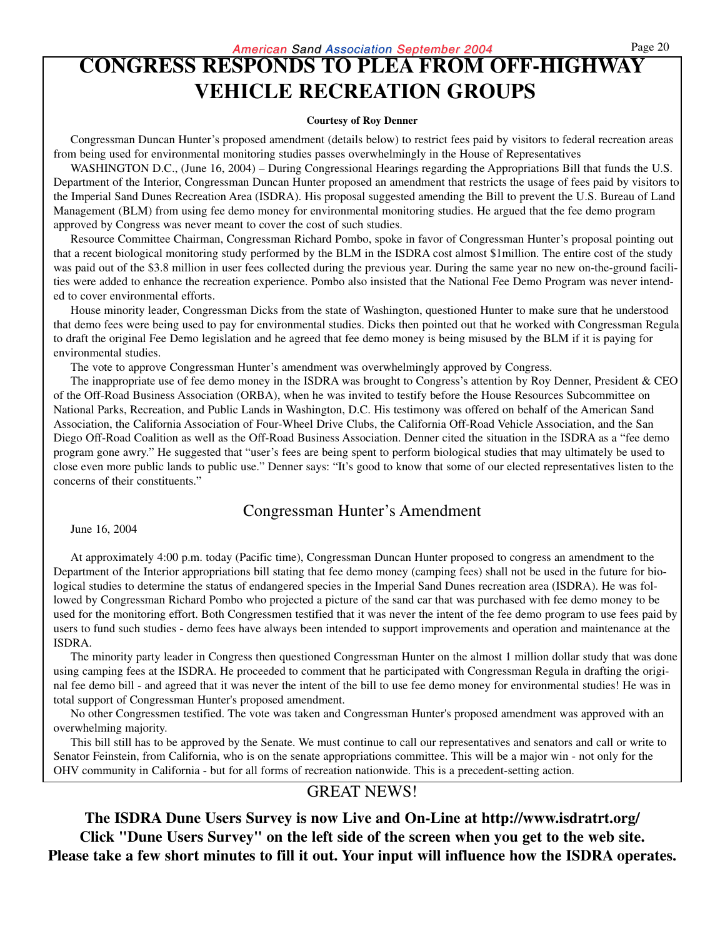### **CONGRESS RESPONDS TO PLEA FROM OFF-HIGHWAY VEHICLE RECREATION GROUPS**

#### **Courtesy of Roy Denner**

Congressman Duncan Hunter's proposed amendment (details below) to restrict fees paid by visitors to federal recreation areas from being used for environmental monitoring studies passes overwhelmingly in the House of Representatives

WASHINGTON D.C., (June 16, 2004) – During Congressional Hearings regarding the Appropriations Bill that funds the U.S. Department of the Interior, Congressman Duncan Hunter proposed an amendment that restricts the usage of fees paid by visitors to the Imperial Sand Dunes Recreation Area (ISDRA). His proposal suggested amending the Bill to prevent the U.S. Bureau of Land Management (BLM) from using fee demo money for environmental monitoring studies. He argued that the fee demo program approved by Congress was never meant to cover the cost of such studies.

Resource Committee Chairman, Congressman Richard Pombo, spoke in favor of Congressman Hunter's proposal pointing out that a recent biological monitoring study performed by the BLM in the ISDRA cost almost \$1million. The entire cost of the study was paid out of the \$3.8 million in user fees collected during the previous year. During the same year no new on-the-ground facilities were added to enhance the recreation experience. Pombo also insisted that the National Fee Demo Program was never intended to cover environmental efforts.

House minority leader, Congressman Dicks from the state of Washington, questioned Hunter to make sure that he understood that demo fees were being used to pay for environmental studies. Dicks then pointed out that he worked with Congressman Regula to draft the original Fee Demo legislation and he agreed that fee demo money is being misused by the BLM if it is paying for environmental studies.

The vote to approve Congressman Hunter's amendment was overwhelmingly approved by Congress.

The inappropriate use of fee demo money in the ISDRA was brought to Congress's attention by Roy Denner, President & CEO of the Off-Road Business Association (ORBA), when he was invited to testify before the House Resources Subcommittee on National Parks, Recreation, and Public Lands in Washington, D.C. His testimony was offered on behalf of the American Sand Association, the California Association of Four-Wheel Drive Clubs, the California Off-Road Vehicle Association, and the San Diego Off-Road Coalition as well as the Off-Road Business Association. Denner cited the situation in the ISDRA as a "fee demo program gone awry." He suggested that "user's fees are being spent to perform biological studies that may ultimately be used to close even more public lands to public use." Denner says: "It's good to know that some of our elected representatives listen to the concerns of their constituents."

### Congressman Hunter's Amendment

June 16, 2004

At approximately 4:00 p.m. today (Pacific time), Congressman Duncan Hunter proposed to congress an amendment to the Department of the Interior appropriations bill stating that fee demo money (camping fees) shall not be used in the future for biological studies to determine the status of endangered species in the Imperial Sand Dunes recreation area (ISDRA). He was followed by Congressman Richard Pombo who projected a picture of the sand car that was purchased with fee demo money to be used for the monitoring effort. Both Congressmen testified that it was never the intent of the fee demo program to use fees paid by users to fund such studies - demo fees have always been intended to support improvements and operation and maintenance at the ISDRA.

The minority party leader in Congress then questioned Congressman Hunter on the almost 1 million dollar study that was done using camping fees at the ISDRA. He proceeded to comment that he participated with Congressman Regula in drafting the original fee demo bill - and agreed that it was never the intent of the bill to use fee demo money for environmental studies! He was in total support of Congressman Hunter's proposed amendment.

No other Congressmen testified. The vote was taken and Congressman Hunter's proposed amendment was approved with an overwhelming majority.

This bill still has to be approved by the Senate. We must continue to call our representatives and senators and call or write to Senator Feinstein, from California, who is on the senate appropriations committee. This will be a major win - not only for the OHV community in California - but for all forms of recreation nationwide. This is a precedent-setting action.

### GREAT NEWS!

**The ISDRA Dune Users Survey is now Live and On-Line at http://www.isdratrt.org/ Click "Dune Users Survey" on the left side of the screen when you get to the web site. Please take a few short minutes to fill it out. Your input will influence how the ISDRA operates.**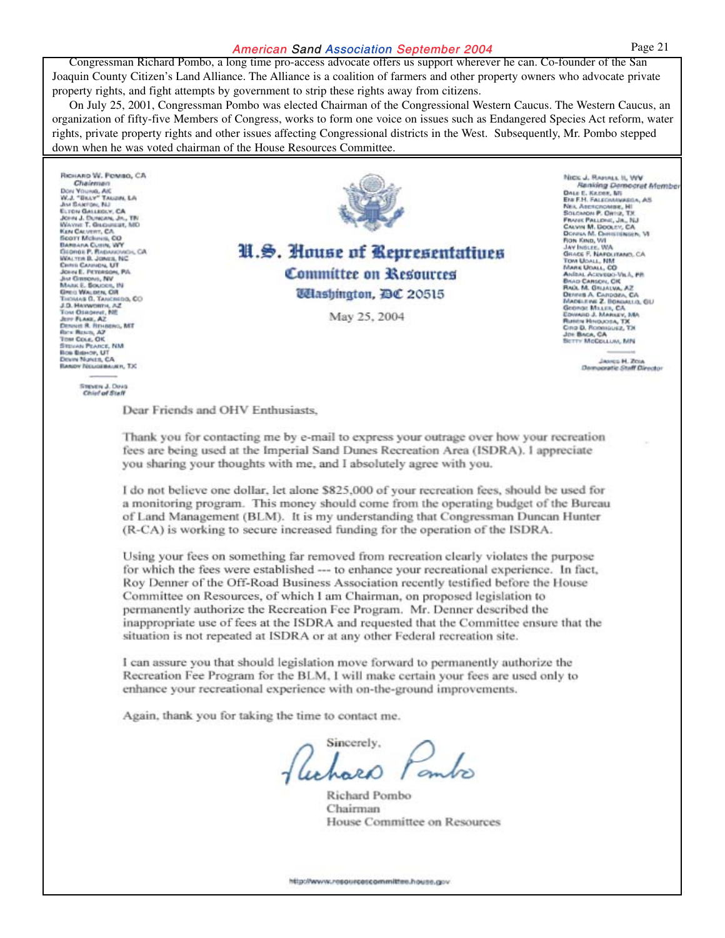#### American Sand Association September 2004 Page 21

Congressman Richard Pombo, a long time pro-access advocate offers us support wherever he can. Co-founder of the San Joaquin County Citizen's Land Alliance. The Alliance is a coalition of farmers and other property owners who advocate private property rights, and fight attempts by government to strip these rights away from citizens.

On July 25, 2001, Congressman Pombo was elected Chairman of the Congressional Western Caucus. The Western Caucus, an organization of fifty-five Members of Congress, works to form one voice on issues such as Endangered Species Act reform, water rights, private property rights and other issues affecting Congressional districts in the West. Subsequently, Mr. Pombo stepped down when he was voted chairman of the House Resources Committee.

RICHARD W. POMBO, CA Chairma DON YOUNG, ARE<br>W.J. "BILLY" TALLON, LA Just Eleaniges, NJ JM BARTON, BALLICA<br>JOHN J. DUNGAN, JN., 1<br>JOHN J. DUNGAN, JN., 1<br>WAYNE T. GRUEBER, 3<br>KEN CAUVERT, CA.<br>BODTT MCBHUR, CO **TBI** BARBAILA CLININ, WW DARMAN CURIN, WY<br>CIGOROLP, Radaugusch<br>WALTER B. JONNER, NC<br>CHINE CANNON, UT<br>JNA GREVEN, NV<br>MARK E. SOLICER, NV<br>MARK E. SOLICER, NV **OK CA** Greci Wacons, OR THOMAS G. TANCHIO<br>J.D. HAYWORTH, AZ<br>TOM OSROPHE, NE **00, CO** Dennet R. Revisens, MT<br>Res: Ressa, AZ Tow Cour, OK **TENNIE PEARCE, NM**<br>36 Bishop, UT<br>5678 Nancs, CA é. **BANDY NIGHBANER, TX** 

### U.S. House of Representatives **Committee on Resources** *Udlashington, DC 20515*

May 25, 2004

NICK J. RAMALL II, WV Renking Democrat Membe DALE E. KADEE, MI<br>EN F.H. FALEOMAWARDA, AS<br>NEA ARESCROMBE, HI<br>SOLOMON P. ORTIZ, T.K. **FRANK PALLINGS JR. NULL** Frank Pallides, Jr., NJ<br>Calven M. Dooley, CA<br>Dones M. Demittinger, VI<br>Don Kind, VI<br>Jay Inslite, WA<br>Grack F. Nafolitano, CA TOM USALL, NM MARK UOALL, CO<br>Anteal Acevero-Vill, Brad Carson, OK Vich, PR Dennes A. Canpoza, CA MADELEWE Z. BONDALLO, GLJ George Millin, CA.<br>EDWARD J. MARIEY, George Miller, CA<br>Edward J. Markey, Ma<br>Rheen Hugadisa, TX<br>Ciro D. Roomguez, TX<br>Joe Baca, CA<br>Betty MoCollum, MN

> Janes H. Zour Democratic Staff Director

#### **Steven J. Dava**<br>Chief of Staff

Dear Friends and OHV Enthusiasts.

Thank you for contacting me by e-mail to express your outrage over how your recreation fees are being used at the Imperial Sand Dunes Recreation Area (ISDRA). I appreciate you sharing your thoughts with me, and I absolutely agree with you.

I do not believe one dollar, let alone \$825,000 of your recreation fees, should be used for a monitoring program. This money should come from the operating budget of the Bureau of Land Management (BLM). It is my understanding that Congressman Duncan Hunter (R-CA) is working to secure increased funding for the operation of the ISDRA.

Using your fees on something far removed from recreation clearly violates the purpose for which the fees were established --- to enhance your recreational experience. In fact, Roy Denner of the Off-Road Business Association recently testified before the House Committee on Resources, of which I am Chairman, on proposed legislation to permanently authorize the Recreation Fee Program. Mr. Denner described the inappropriate use of fees at the ISDRA and requested that the Committee ensure that the situation is not repeated at ISDRA or at any other Federal recreation site.

I can assure you that should legislation move forward to permanently authorize the Recreation Fee Program for the BLM, I will make certain your fees are used only to enhance your recreational experience with on-the-ground improvements.

Again, thank you for taking the time to contact me.

Sincerely,

Richard Pombo Chairman House Committee on Resources

http://www.resourcescommittee.house.gov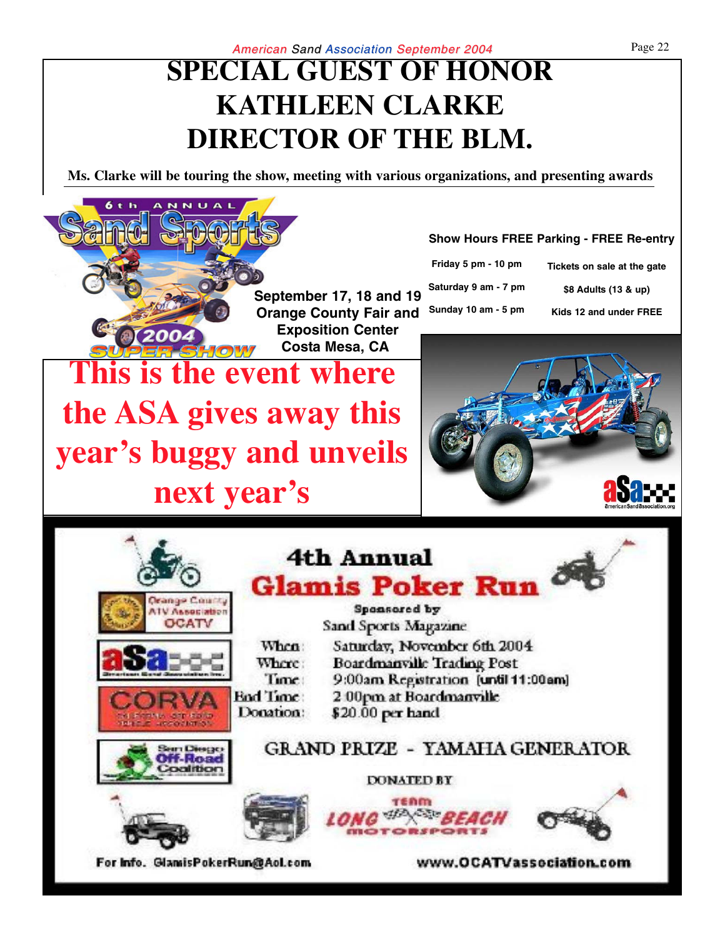# **SPECIAL GUEST OF HONOR KATHLEEN CLARKE DIRECTOR OF THE BLM.**

**Ms. Clarke will be touring the show, meeting with various organizations, and presenting awards**

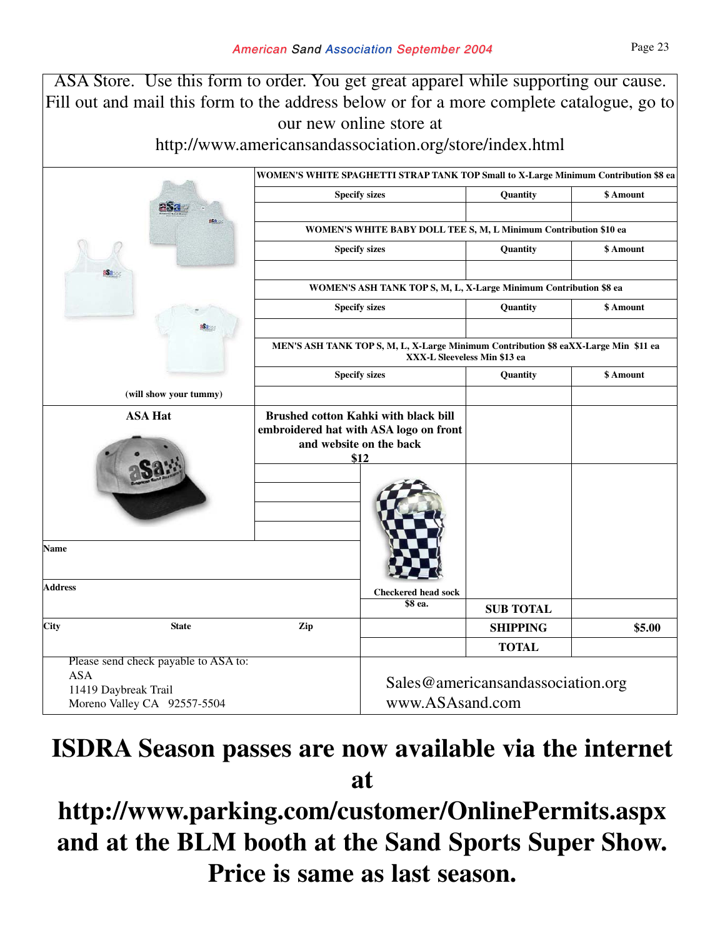ASA Store. Use this form to order. You get great apparel while supporting our cause. Fill out and mail this form to the address below or for a more complete catalogue, go to our new online store at http://www.americansandassociation.org/store/index.html **WOMEN'S WHITE SPAGHETTI STRAP TANK TOP Small to X-Large Minimum Contribution \$8 ea Specify sizes Quantity SAMOUNT WOMEN'S WHITE BABY DOLL TEE S, M, L Minimum Contribution \$10 ea Specify sizes a Quantity 3 Amount WOMEN'S ASH TANK TOP S, M, L, X-Large Minimum Contribution \$8 ea Specify sizes a Quantity b \$ Amount MEN'S ASH TANK TOP S, M, L, X-Large Minimum Contribution \$8 eaXX-Large Min \$11 ea XXX-L Sleeveless Min \$13 ea Specify sizes Quantity 3 Amount ASA Hat Brushed cotton Kahki with black bill embroidered hat with ASA logo on front and website on the back \$12 Name Address SUB TOTAL** City State  $\qquad \qquad$   $\qquad \qquad$   $\qquad$   $\qquad$   $\qquad$   $\qquad$   $\qquad$   $\qquad$   $\qquad$   $\qquad$   $\qquad$   $\qquad$   $\qquad$   $\qquad$   $\qquad$   $\qquad$   $\qquad$   $\qquad$   $\qquad$   $\qquad$   $\qquad$   $\qquad$   $\qquad$   $\qquad$   $\qquad$   $\qquad$   $\qquad$   $\qquad$   $\qquad$   $\qquad$   $\qquad$   $\qquad$   $\qquad$   $\qquad$  **TOTAL** Please send check payable to ASA to: ASA 11419 Daybreak Trail Moreno Valley CA 92557-5504 Sales@americansandassociation.org www.ASAsand.com **(will show your tummy) Checkered head sock \$8 ea.**

### **ISDRA Season passes are now available via the internet at**

# **http://www.parking.com/customer/OnlinePermits.aspx and at the BLM booth at the Sand Sports Super Show. Price is same as last season.**